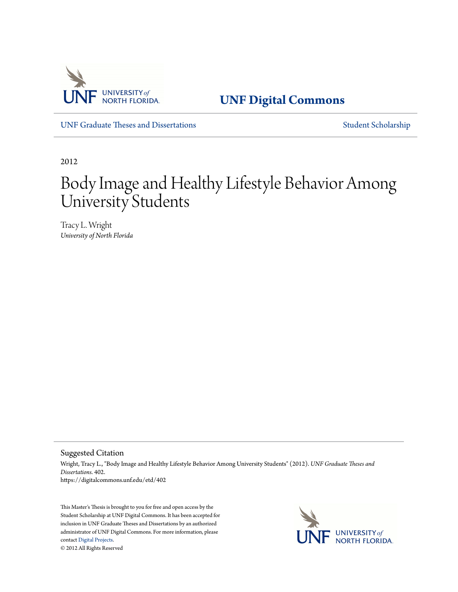

**[UNF Digital Commons](https://digitalcommons.unf.edu)**

[UNF Graduate Theses and Dissertations](https://digitalcommons.unf.edu/etd) [Student Scholarship](https://digitalcommons.unf.edu/student_scholars)

2012

# Body Image and Healthy Lifestyle Behavior Among University Students

Tracy L. Wright *University of North Florida*

Suggested Citation

Wright, Tracy L., "Body Image and Healthy Lifestyle Behavior Among University Students" (2012). *UNF Graduate Theses and Dissertations*. 402. https://digitalcommons.unf.edu/etd/402

This Master's Thesis is brought to you for free and open access by the Student Scholarship at UNF Digital Commons. It has been accepted for inclusion in UNF Graduate Theses and Dissertations by an authorized administrator of UNF Digital Commons. For more information, please contact [Digital Projects.](mailto:lib-digital@unf.edu) © 2012 All Rights Reserved

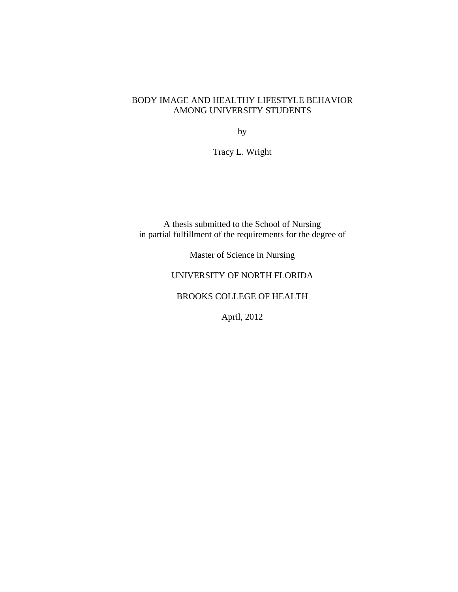### BODY IMAGE AND HEALTHY LIFESTYLE BEHAVIOR AMONG UNIVERSITY STUDENTS

by

Tracy L. Wright

A thesis submitted to the School of Nursing in partial fulfillment of the requirements for the degree of

Master of Science in Nursing

## UNIVERSITY OF NORTH FLORIDA

## BROOKS COLLEGE OF HEALTH

April, 2012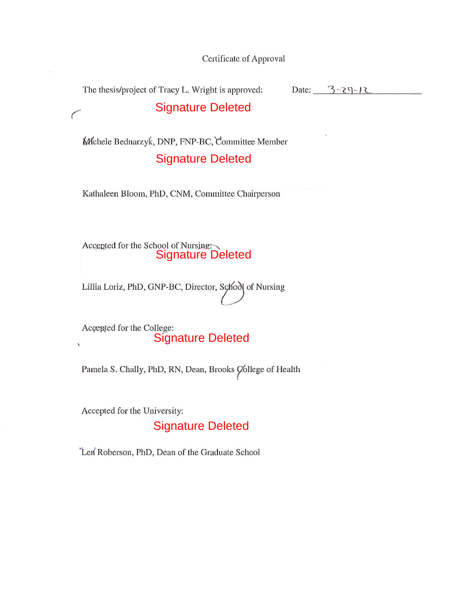Certificate of Approval

Date:  $3 - 3 - 29 - 12$ The thesis/project of Tracy L. Wright is approved:

# Signature Deleted

Mchele Bednarzyk, DNP, FNP-BC, Committee Member Signature Deleted

Kathaleen Bloom, PhD, CNM, Committee Chairperson

Accepted for the School of Nursing:

Lillia Loriz, PhD, GNP-BC, Director, School of Nursing

Accepted for the College: Signature Deleted  $\bar{\mathbf{v}}$ 

Pamela S. Chally, PhD, RN, Dean, Brooks College of Health

Accepted for the University:

 $\sqrt{2}$ 

# Signature Deleted

Len Roberson, PhD, Dean of the Graduate School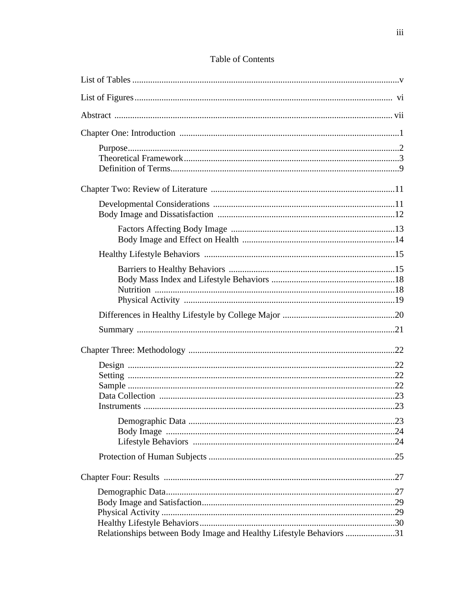# Table of Contents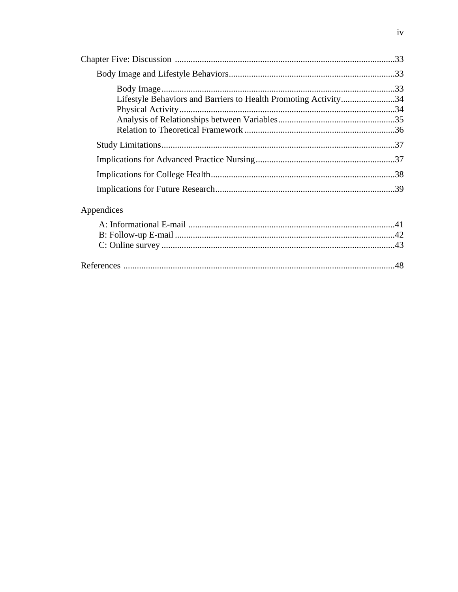| Lifestyle Behaviors and Barriers to Health Promoting Activity34 |  |
|-----------------------------------------------------------------|--|
|                                                                 |  |
|                                                                 |  |
|                                                                 |  |
|                                                                 |  |
|                                                                 |  |
| Appendices                                                      |  |
|                                                                 |  |
|                                                                 |  |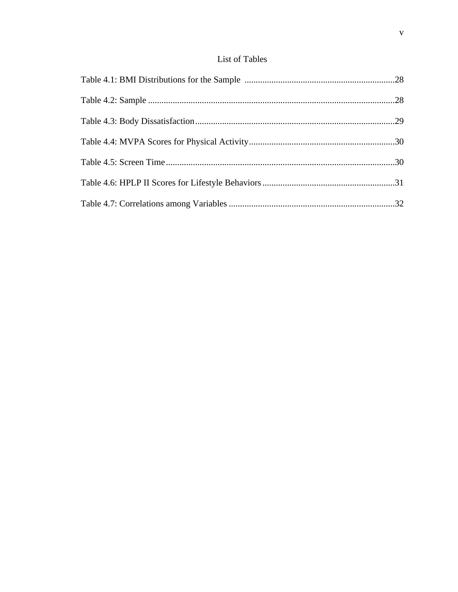# List of Tables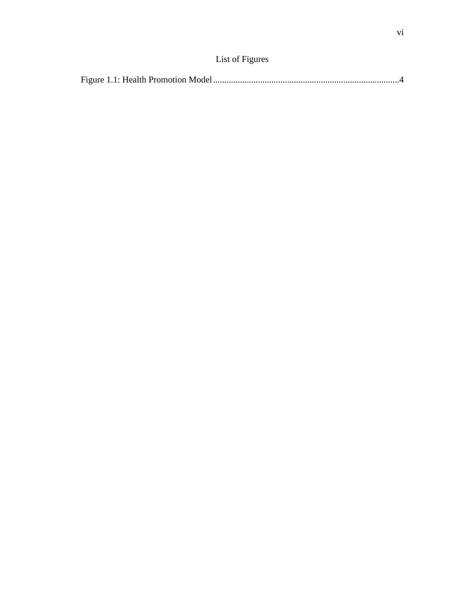|--|--|--|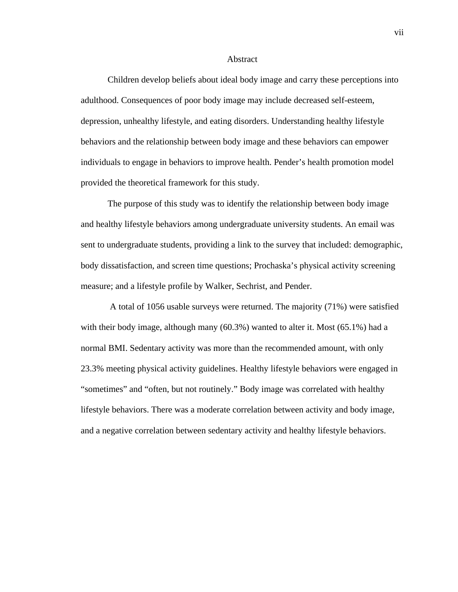#### Abstract

Children develop beliefs about ideal body image and carry these perceptions into adulthood. Consequences of poor body image may include decreased self-esteem, depression, unhealthy lifestyle, and eating disorders. Understanding healthy lifestyle behaviors and the relationship between body image and these behaviors can empower individuals to engage in behaviors to improve health. Pender's health promotion model provided the theoretical framework for this study.

The purpose of this study was to identify the relationship between body image and healthy lifestyle behaviors among undergraduate university students. An email was sent to undergraduate students, providing a link to the survey that included: demographic, body dissatisfaction, and screen time questions; Prochaska's physical activity screening measure; and a lifestyle profile by Walker, Sechrist, and Pender.

 A total of 1056 usable surveys were returned. The majority (71%) were satisfied with their body image, although many (60.3%) wanted to alter it. Most (65.1%) had a normal BMI. Sedentary activity was more than the recommended amount, with only 23.3% meeting physical activity guidelines. Healthy lifestyle behaviors were engaged in "sometimes" and "often, but not routinely." Body image was correlated with healthy lifestyle behaviors. There was a moderate correlation between activity and body image, and a negative correlation between sedentary activity and healthy lifestyle behaviors.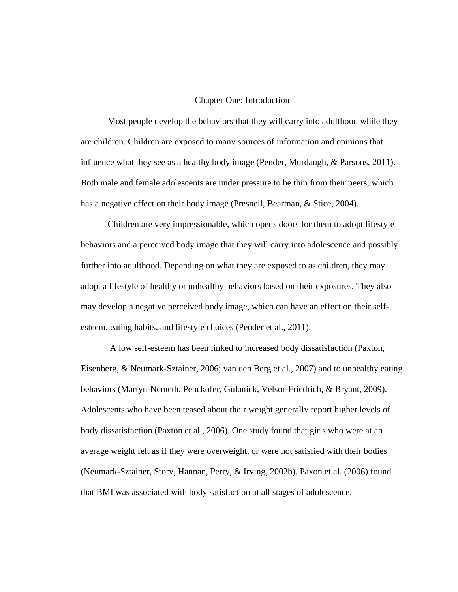#### Chapter One: Introduction

Most people develop the behaviors that they will carry into adulthood while they are children. Children are exposed to many sources of information and opinions that influence what they see as a healthy body image (Pender, Murdaugh, & Parsons, 2011). Both male and female adolescents are under pressure to be thin from their peers, which has a negative effect on their body image (Presnell, Bearman, & Stice, 2004).

Children are very impressionable, which opens doors for them to adopt lifestyle behaviors and a perceived body image that they will carry into adolescence and possibly further into adulthood. Depending on what they are exposed to as children, they may adopt a lifestyle of healthy or unhealthy behaviors based on their exposures. They also may develop a negative perceived body image, which can have an effect on their selfesteem, eating habits, and lifestyle choices (Pender et al., 2011).

A low self-esteem has been linked to increased body dissatisfaction (Paxton, Eisenberg, & Neumark-Sztainer, 2006; van den Berg et al., 2007) and to unhealthy eating behaviors (Martyn-Nemeth, Penckofer, Gulanick, Velsor-Friedrich, & Bryant, 2009). Adolescents who have been teased about their weight generally report higher levels of body dissatisfaction (Paxton et al., 2006). One study found that girls who were at an average weight felt as if they were overweight, or were not satisfied with their bodies (Neumark-Sztainer, Story, Hannan, Perry, & Irving, 2002b). Paxon et al. (2006) found that BMI was associated with body satisfaction at all stages of adolescence.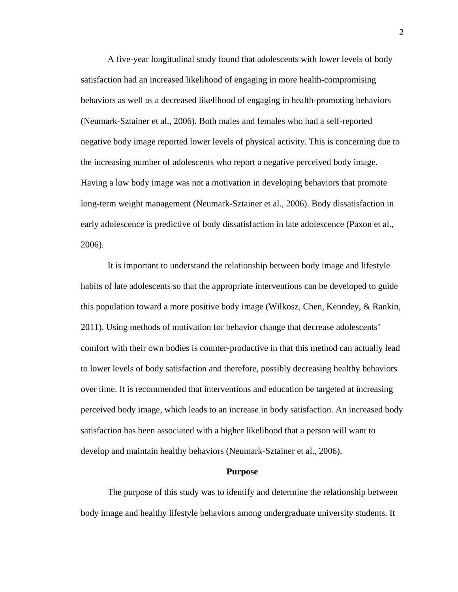A five-year longitudinal study found that adolescents with lower levels of body satisfaction had an increased likelihood of engaging in more health-compromising behaviors as well as a decreased likelihood of engaging in health-promoting behaviors (Neumark-Sztainer et al., 2006). Both males and females who had a self-reported negative body image reported lower levels of physical activity. This is concerning due to the increasing number of adolescents who report a negative perceived body image. Having a low body image was not a motivation in developing behaviors that promote long-term weight management (Neumark-Sztainer et al., 2006). Body dissatisfaction in early adolescence is predictive of body dissatisfaction in late adolescence (Paxon et al., 2006).

It is important to understand the relationship between body image and lifestyle habits of late adolescents so that the appropriate interventions can be developed to guide this population toward a more positive body image (Wilkosz, Chen, Kenndey, & Rankin, 2011). Using methods of motivation for behavior change that decrease adolescents' comfort with their own bodies is counter-productive in that this method can actually lead to lower levels of body satisfaction and therefore, possibly decreasing healthy behaviors over time. It is recommended that interventions and education be targeted at increasing perceived body image, which leads to an increase in body satisfaction. An increased body satisfaction has been associated with a higher likelihood that a person will want to develop and maintain healthy behaviors (Neumark-Sztainer et al., 2006).

#### **Purpose**

The purpose of this study was to identify and determine the relationship between body image and healthy lifestyle behaviors among undergraduate university students. It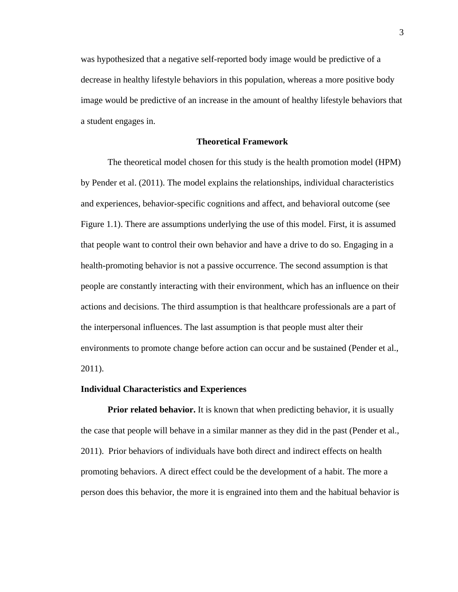was hypothesized that a negative self-reported body image would be predictive of a decrease in healthy lifestyle behaviors in this population, whereas a more positive body image would be predictive of an increase in the amount of healthy lifestyle behaviors that a student engages in.

#### **Theoretical Framework**

The theoretical model chosen for this study is the health promotion model (HPM) by Pender et al. (2011). The model explains the relationships, individual characteristics and experiences, behavior-specific cognitions and affect, and behavioral outcome (see Figure 1.1). There are assumptions underlying the use of this model. First, it is assumed that people want to control their own behavior and have a drive to do so. Engaging in a health-promoting behavior is not a passive occurrence. The second assumption is that people are constantly interacting with their environment, which has an influence on their actions and decisions. The third assumption is that healthcare professionals are a part of the interpersonal influences. The last assumption is that people must alter their environments to promote change before action can occur and be sustained (Pender et al., 2011).

#### **Individual Characteristics and Experiences**

**Prior related behavior.** It is known that when predicting behavior, it is usually the case that people will behave in a similar manner as they did in the past (Pender et al., 2011). Prior behaviors of individuals have both direct and indirect effects on health promoting behaviors. A direct effect could be the development of a habit. The more a person does this behavior, the more it is engrained into them and the habitual behavior is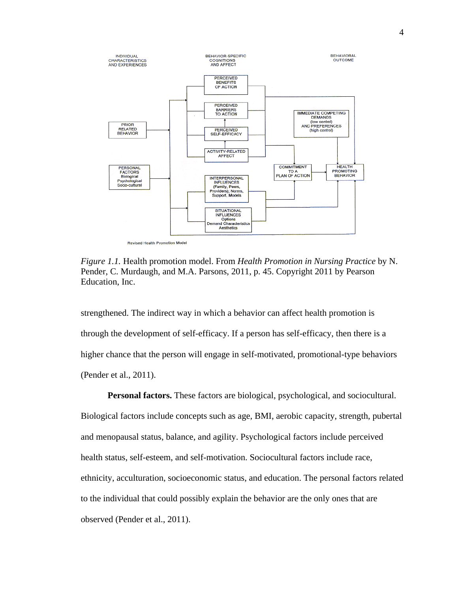

*Figure 1.1.* Health promotion model. From *Health Promotion in Nursing Practice* by N. Pender, C. Murdaugh, and M.A. Parsons, 2011, p. 45. Copyright 2011 by Pearson Education, Inc.

strengthened. The indirect way in which a behavior can affect health promotion is through the development of self-efficacy. If a person has self-efficacy, then there is a higher chance that the person will engage in self-motivated, promotional-type behaviors (Pender et al., 2011).

**Personal factors.** These factors are biological, psychological, and sociocultural. Biological factors include concepts such as age, BMI, aerobic capacity, strength, pubertal and menopausal status, balance, and agility. Psychological factors include perceived health status, self-esteem, and self-motivation. Sociocultural factors include race, ethnicity, acculturation, socioeconomic status, and education. The personal factors related to the individual that could possibly explain the behavior are the only ones that are observed (Pender et al., 2011).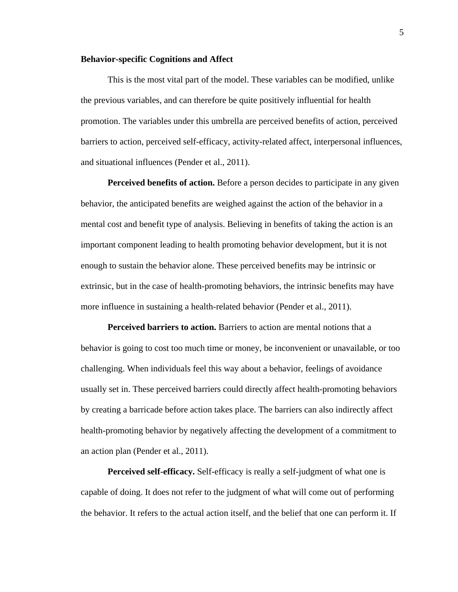#### **Behavior-specific Cognitions and Affect**

This is the most vital part of the model. These variables can be modified, unlike the previous variables, and can therefore be quite positively influential for health promotion. The variables under this umbrella are perceived benefits of action, perceived barriers to action, perceived self-efficacy, activity-related affect, interpersonal influences, and situational influences (Pender et al., 2011).

**Perceived benefits of action.** Before a person decides to participate in any given behavior, the anticipated benefits are weighed against the action of the behavior in a mental cost and benefit type of analysis. Believing in benefits of taking the action is an important component leading to health promoting behavior development, but it is not enough to sustain the behavior alone. These perceived benefits may be intrinsic or extrinsic, but in the case of health-promoting behaviors, the intrinsic benefits may have more influence in sustaining a health-related behavior (Pender et al., 2011).

**Perceived barriers to action.** Barriers to action are mental notions that a behavior is going to cost too much time or money, be inconvenient or unavailable, or too challenging. When individuals feel this way about a behavior, feelings of avoidance usually set in. These perceived barriers could directly affect health-promoting behaviors by creating a barricade before action takes place. The barriers can also indirectly affect health-promoting behavior by negatively affecting the development of a commitment to an action plan (Pender et al., 2011).

**Perceived self-efficacy.** Self-efficacy is really a self-judgment of what one is capable of doing. It does not refer to the judgment of what will come out of performing the behavior. It refers to the actual action itself, and the belief that one can perform it. If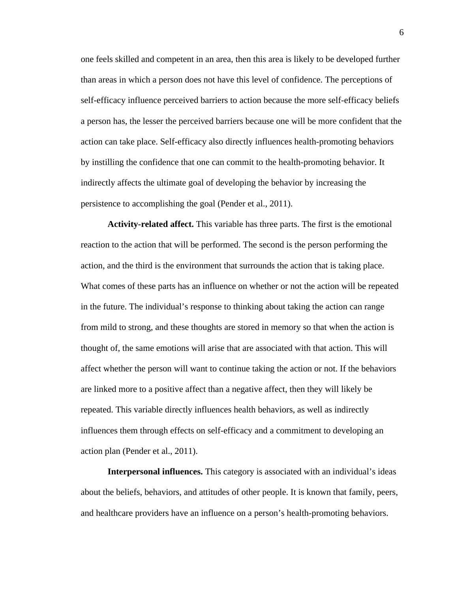one feels skilled and competent in an area, then this area is likely to be developed further than areas in which a person does not have this level of confidence. The perceptions of self-efficacy influence perceived barriers to action because the more self-efficacy beliefs a person has, the lesser the perceived barriers because one will be more confident that the action can take place. Self-efficacy also directly influences health-promoting behaviors by instilling the confidence that one can commit to the health-promoting behavior. It indirectly affects the ultimate goal of developing the behavior by increasing the persistence to accomplishing the goal (Pender et al., 2011).

**Activity-related affect.** This variable has three parts. The first is the emotional reaction to the action that will be performed. The second is the person performing the action, and the third is the environment that surrounds the action that is taking place. What comes of these parts has an influence on whether or not the action will be repeated in the future. The individual's response to thinking about taking the action can range from mild to strong, and these thoughts are stored in memory so that when the action is thought of, the same emotions will arise that are associated with that action. This will affect whether the person will want to continue taking the action or not. If the behaviors are linked more to a positive affect than a negative affect, then they will likely be repeated. This variable directly influences health behaviors, as well as indirectly influences them through effects on self-efficacy and a commitment to developing an action plan (Pender et al., 2011).

**Interpersonal influences.** This category is associated with an individual's ideas about the beliefs, behaviors, and attitudes of other people. It is known that family, peers, and healthcare providers have an influence on a person's health-promoting behaviors.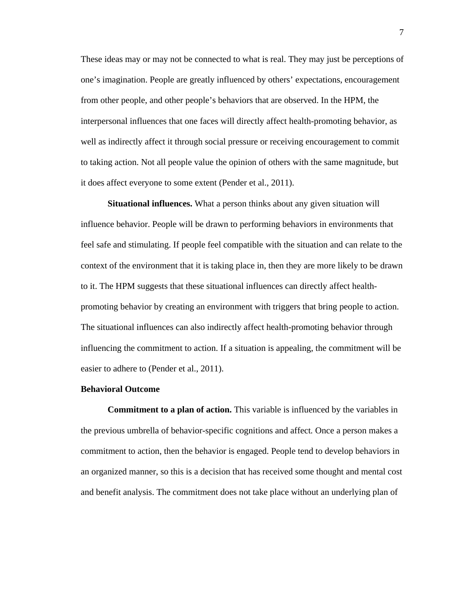These ideas may or may not be connected to what is real. They may just be perceptions of one's imagination. People are greatly influenced by others' expectations, encouragement from other people, and other people's behaviors that are observed. In the HPM, the interpersonal influences that one faces will directly affect health-promoting behavior, as well as indirectly affect it through social pressure or receiving encouragement to commit to taking action. Not all people value the opinion of others with the same magnitude, but it does affect everyone to some extent (Pender et al., 2011).

**Situational influences.** What a person thinks about any given situation will influence behavior. People will be drawn to performing behaviors in environments that feel safe and stimulating. If people feel compatible with the situation and can relate to the context of the environment that it is taking place in, then they are more likely to be drawn to it. The HPM suggests that these situational influences can directly affect healthpromoting behavior by creating an environment with triggers that bring people to action. The situational influences can also indirectly affect health-promoting behavior through influencing the commitment to action. If a situation is appealing, the commitment will be easier to adhere to (Pender et al., 2011).

#### **Behavioral Outcome**

**Commitment to a plan of action.** This variable is influenced by the variables in the previous umbrella of behavior-specific cognitions and affect*.* Once a person makes a commitment to action, then the behavior is engaged. People tend to develop behaviors in an organized manner, so this is a decision that has received some thought and mental cost and benefit analysis. The commitment does not take place without an underlying plan of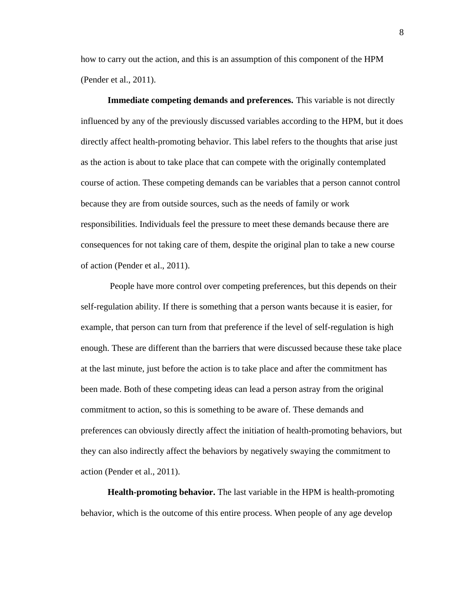how to carry out the action, and this is an assumption of this component of the HPM (Pender et al., 2011).

**Immediate competing demands and preferences.** This variable is not directly influenced by any of the previously discussed variables according to the HPM, but it does directly affect health-promoting behavior. This label refers to the thoughts that arise just as the action is about to take place that can compete with the originally contemplated course of action. These competing demands can be variables that a person cannot control because they are from outside sources, such as the needs of family or work responsibilities. Individuals feel the pressure to meet these demands because there are consequences for not taking care of them, despite the original plan to take a new course of action (Pender et al., 2011).

People have more control over competing preferences, but this depends on their self-regulation ability. If there is something that a person wants because it is easier, for example, that person can turn from that preference if the level of self-regulation is high enough. These are different than the barriers that were discussed because these take place at the last minute, just before the action is to take place and after the commitment has been made. Both of these competing ideas can lead a person astray from the original commitment to action, so this is something to be aware of. These demands and preferences can obviously directly affect the initiation of health-promoting behaviors, but they can also indirectly affect the behaviors by negatively swaying the commitment to action (Pender et al., 2011).

**Health-promoting behavior.** The last variable in the HPM is health-promoting behavior*,* which is the outcome of this entire process. When people of any age develop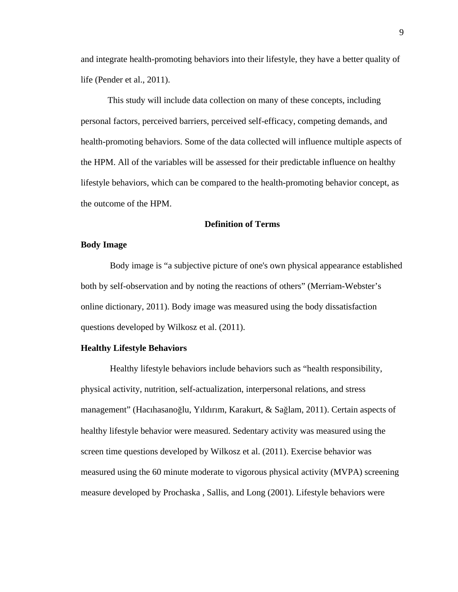and integrate health-promoting behaviors into their lifestyle, they have a better quality of life (Pender et al., 2011).

This study will include data collection on many of these concepts, including personal factors, perceived barriers, perceived self-efficacy, competing demands, and health-promoting behaviors. Some of the data collected will influence multiple aspects of the HPM. All of the variables will be assessed for their predictable influence on healthy lifestyle behaviors, which can be compared to the health-promoting behavior concept, as the outcome of the HPM.

#### **Definition of Terms**

#### **Body Image**

Body image is "a subjective picture of one's own physical appearance established both by self-observation and by noting the reactions of others" (Merriam-Webster's online dictionary, 2011). Body image was measured using the body dissatisfaction questions developed by Wilkosz et al. (2011).

#### **Healthy Lifestyle Behaviors**

Healthy lifestyle behaviors include behaviors such as "health responsibility, physical activity, nutrition, self-actualization, interpersonal relations, and stress management" (Hacıhasanoğlu, Yıldırım, Karakurt, & Sağlam, 2011). Certain aspects of healthy lifestyle behavior were measured. Sedentary activity was measured using the screen time questions developed by Wilkosz et al. (2011). Exercise behavior was measured using the 60 minute moderate to vigorous physical activity (MVPA) screening measure developed by Prochaska , Sallis, and Long (2001). Lifestyle behaviors were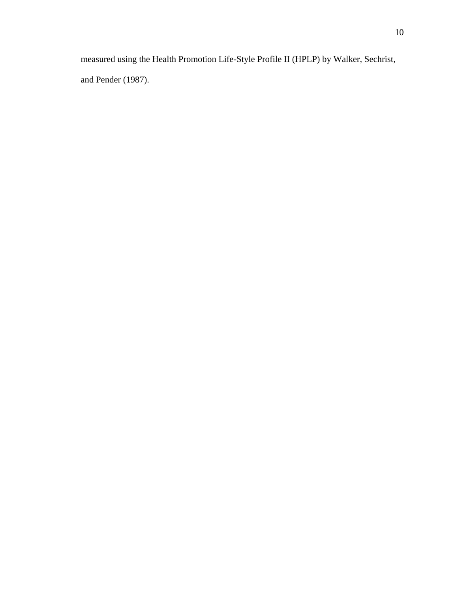measured using the Health Promotion Life-Style Profile II (HPLP) by Walker, Sechrist, and Pender (1987).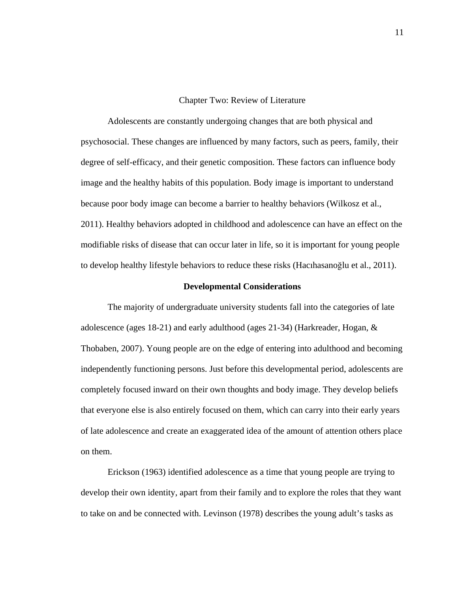Chapter Two: Review of Literature

Adolescents are constantly undergoing changes that are both physical and psychosocial. These changes are influenced by many factors, such as peers, family, their degree of self-efficacy, and their genetic composition. These factors can influence body image and the healthy habits of this population. Body image is important to understand because poor body image can become a barrier to healthy behaviors (Wilkosz et al., 2011). Healthy behaviors adopted in childhood and adolescence can have an effect on the modifiable risks of disease that can occur later in life, so it is important for young people to develop healthy lifestyle behaviors to reduce these risks (Hacıhasanoğlu et al., 2011).

#### **Developmental Considerations**

The majority of undergraduate university students fall into the categories of late adolescence (ages 18-21) and early adulthood (ages 21-34) (Harkreader, Hogan, & Thobaben, 2007). Young people are on the edge of entering into adulthood and becoming independently functioning persons. Just before this developmental period, adolescents are completely focused inward on their own thoughts and body image. They develop beliefs that everyone else is also entirely focused on them, which can carry into their early years of late adolescence and create an exaggerated idea of the amount of attention others place on them.

Erickson (1963) identified adolescence as a time that young people are trying to develop their own identity, apart from their family and to explore the roles that they want to take on and be connected with. Levinson (1978) describes the young adult's tasks as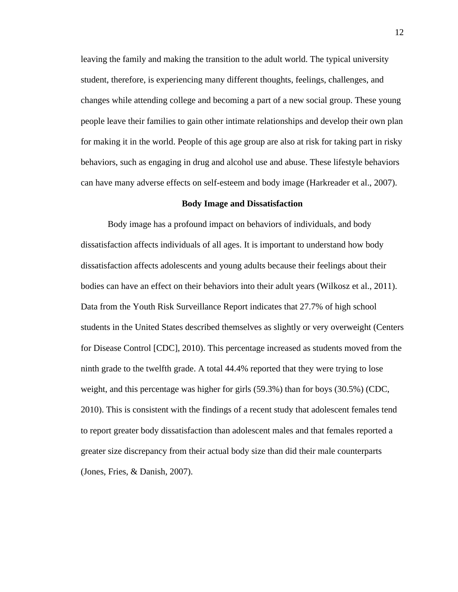leaving the family and making the transition to the adult world. The typical university student, therefore, is experiencing many different thoughts, feelings, challenges, and changes while attending college and becoming a part of a new social group. These young people leave their families to gain other intimate relationships and develop their own plan for making it in the world. People of this age group are also at risk for taking part in risky behaviors, such as engaging in drug and alcohol use and abuse. These lifestyle behaviors can have many adverse effects on self-esteem and body image (Harkreader et al., 2007).

#### **Body Image and Dissatisfaction**

Body image has a profound impact on behaviors of individuals, and body dissatisfaction affects individuals of all ages. It is important to understand how body dissatisfaction affects adolescents and young adults because their feelings about their bodies can have an effect on their behaviors into their adult years (Wilkosz et al., 2011). Data from the Youth Risk Surveillance Report indicates that 27.7% of high school students in the United States described themselves as slightly or very overweight (Centers for Disease Control [CDC], 2010). This percentage increased as students moved from the ninth grade to the twelfth grade. A total 44.4% reported that they were trying to lose weight, and this percentage was higher for girls (59.3%) than for boys (30.5%) (CDC, 2010). This is consistent with the findings of a recent study that adolescent females tend to report greater body dissatisfaction than adolescent males and that females reported a greater size discrepancy from their actual body size than did their male counterparts (Jones, Fries, & Danish, 2007).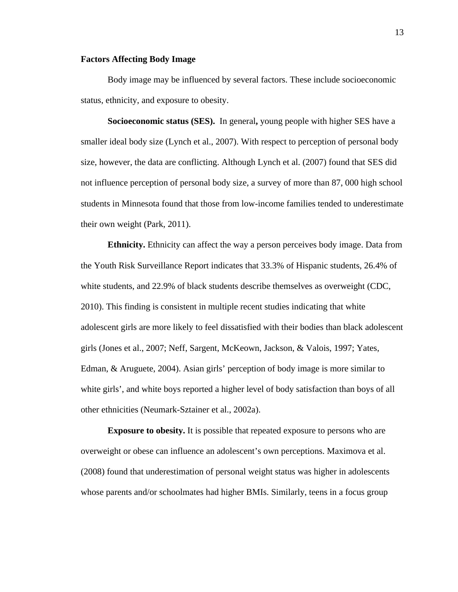#### **Factors Affecting Body Image**

Body image may be influenced by several factors. These include socioeconomic status, ethnicity, and exposure to obesity.

**Socioeconomic status (SES).** In general**,** young people with higher SES have a smaller ideal body size (Lynch et al., 2007). With respect to perception of personal body size, however, the data are conflicting. Although Lynch et al. (2007) found that SES did not influence perception of personal body size, a survey of more than 87, 000 high school students in Minnesota found that those from low-income families tended to underestimate their own weight (Park, 2011).

**Ethnicity.** Ethnicity can affect the way a person perceives body image. Data from the Youth Risk Surveillance Report indicates that 33.3% of Hispanic students, 26.4% of white students, and 22.9% of black students describe themselves as overweight (CDC, 2010). This finding is consistent in multiple recent studies indicating that white adolescent girls are more likely to feel dissatisfied with their bodies than black adolescent girls (Jones et al., 2007; Neff, Sargent, McKeown, Jackson, & Valois, 1997; Yates, Edman, & Aruguete, 2004). Asian girls' perception of body image is more similar to white girls', and white boys reported a higher level of body satisfaction than boys of all other ethnicities (Neumark-Sztainer et al., 2002a).

**Exposure to obesity.** It is possible that repeated exposure to persons who are overweight or obese can influence an adolescent's own perceptions. Maximova et al. (2008) found that underestimation of personal weight status was higher in adolescents whose parents and/or schoolmates had higher BMIs. Similarly, teens in a focus group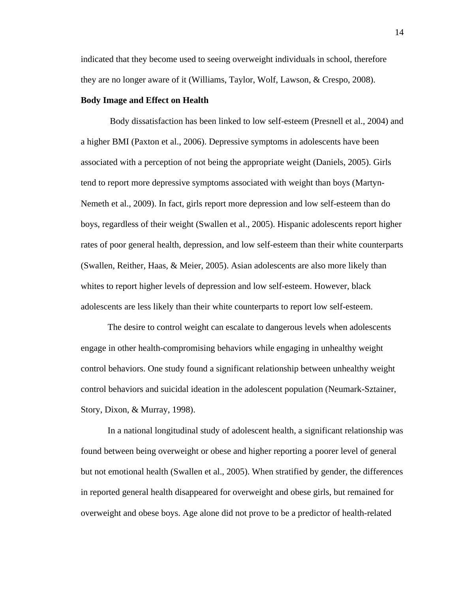indicated that they become used to seeing overweight individuals in school, therefore they are no longer aware of it (Williams, Taylor, Wolf, Lawson, & Crespo, 2008).

#### **Body Image and Effect on Health**

Body dissatisfaction has been linked to low self-esteem (Presnell et al., 2004) and a higher BMI (Paxton et al., 2006). Depressive symptoms in adolescents have been associated with a perception of not being the appropriate weight (Daniels, 2005). Girls tend to report more depressive symptoms associated with weight than boys (Martyn-Nemeth et al., 2009). In fact, girls report more depression and low self-esteem than do boys, regardless of their weight (Swallen et al., 2005). Hispanic adolescents report higher rates of poor general health, depression, and low self-esteem than their white counterparts (Swallen, Reither, Haas, & Meier, 2005). Asian adolescents are also more likely than whites to report higher levels of depression and low self-esteem. However, black adolescents are less likely than their white counterparts to report low self-esteem.

The desire to control weight can escalate to dangerous levels when adolescents engage in other health-compromising behaviors while engaging in unhealthy weight control behaviors. One study found a significant relationship between unhealthy weight control behaviors and suicidal ideation in the adolescent population (Neumark-Sztainer, Story, Dixon, & Murray, 1998).

In a national longitudinal study of adolescent health, a significant relationship was found between being overweight or obese and higher reporting a poorer level of general but not emotional health (Swallen et al., 2005). When stratified by gender, the differences in reported general health disappeared for overweight and obese girls, but remained for overweight and obese boys. Age alone did not prove to be a predictor of health-related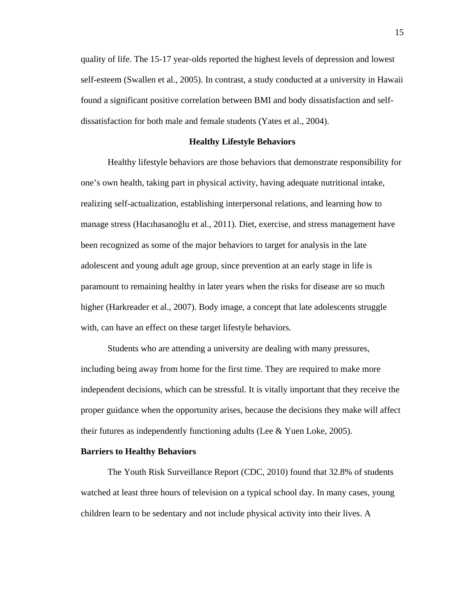quality of life. The 15-17 year-olds reported the highest levels of depression and lowest self-esteem (Swallen et al., 2005). In contrast, a study conducted at a university in Hawaii found a significant positive correlation between BMI and body dissatisfaction and selfdissatisfaction for both male and female students (Yates et al., 2004).

#### **Healthy Lifestyle Behaviors**

Healthy lifestyle behaviors are those behaviors that demonstrate responsibility for one's own health, taking part in physical activity, having adequate nutritional intake, realizing self-actualization, establishing interpersonal relations, and learning how to manage stress (Hacıhasanoğlu et al., 2011). Diet, exercise, and stress management have been recognized as some of the major behaviors to target for analysis in the late adolescent and young adult age group, since prevention at an early stage in life is paramount to remaining healthy in later years when the risks for disease are so much higher (Harkreader et al., 2007). Body image, a concept that late adolescents struggle with, can have an effect on these target lifestyle behaviors.

Students who are attending a university are dealing with many pressures, including being away from home for the first time. They are required to make more independent decisions, which can be stressful. It is vitally important that they receive the proper guidance when the opportunity arises, because the decisions they make will affect their futures as independently functioning adults (Lee & Yuen Loke, 2005).

#### **Barriers to Healthy Behaviors**

The Youth Risk Surveillance Report (CDC, 2010) found that 32.8% of students watched at least three hours of television on a typical school day. In many cases, young children learn to be sedentary and not include physical activity into their lives. A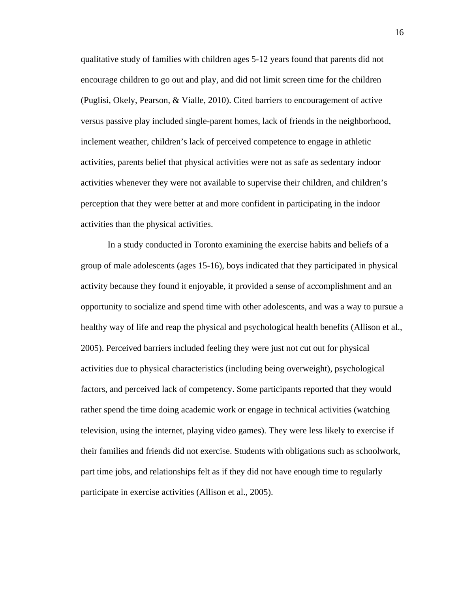qualitative study of families with children ages 5-12 years found that parents did not encourage children to go out and play, and did not limit screen time for the children (Puglisi, Okely, Pearson, & Vialle, 2010). Cited barriers to encouragement of active versus passive play included single-parent homes, lack of friends in the neighborhood, inclement weather, children's lack of perceived competence to engage in athletic activities, parents belief that physical activities were not as safe as sedentary indoor activities whenever they were not available to supervise their children, and children's perception that they were better at and more confident in participating in the indoor activities than the physical activities.

In a study conducted in Toronto examining the exercise habits and beliefs of a group of male adolescents (ages 15-16), boys indicated that they participated in physical activity because they found it enjoyable, it provided a sense of accomplishment and an opportunity to socialize and spend time with other adolescents, and was a way to pursue a healthy way of life and reap the physical and psychological health benefits (Allison et al., 2005). Perceived barriers included feeling they were just not cut out for physical activities due to physical characteristics (including being overweight), psychological factors, and perceived lack of competency. Some participants reported that they would rather spend the time doing academic work or engage in technical activities (watching television, using the internet, playing video games). They were less likely to exercise if their families and friends did not exercise. Students with obligations such as schoolwork, part time jobs, and relationships felt as if they did not have enough time to regularly participate in exercise activities (Allison et al., 2005).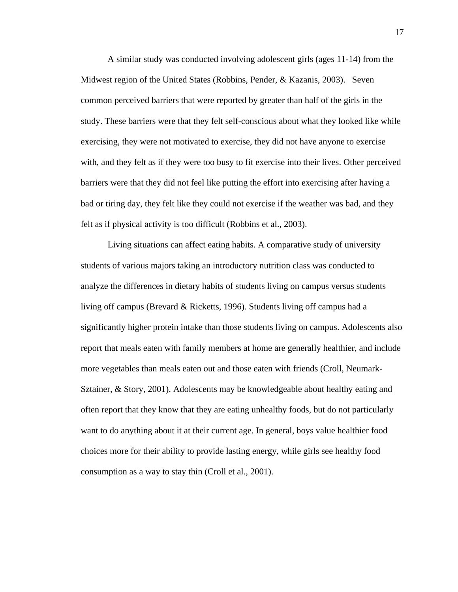A similar study was conducted involving adolescent girls (ages 11-14) from the Midwest region of the United States (Robbins, Pender, & Kazanis, 2003). Seven common perceived barriers that were reported by greater than half of the girls in the study. These barriers were that they felt self-conscious about what they looked like while exercising, they were not motivated to exercise, they did not have anyone to exercise with, and they felt as if they were too busy to fit exercise into their lives. Other perceived barriers were that they did not feel like putting the effort into exercising after having a bad or tiring day, they felt like they could not exercise if the weather was bad, and they felt as if physical activity is too difficult (Robbins et al., 2003).

Living situations can affect eating habits. A comparative study of university students of various majors taking an introductory nutrition class was conducted to analyze the differences in dietary habits of students living on campus versus students living off campus (Brevard & Ricketts, 1996). Students living off campus had a significantly higher protein intake than those students living on campus. Adolescents also report that meals eaten with family members at home are generally healthier, and include more vegetables than meals eaten out and those eaten with friends (Croll, Neumark-Sztainer, & Story, 2001). Adolescents may be knowledgeable about healthy eating and often report that they know that they are eating unhealthy foods, but do not particularly want to do anything about it at their current age. In general, boys value healthier food choices more for their ability to provide lasting energy, while girls see healthy food consumption as a way to stay thin (Croll et al., 2001).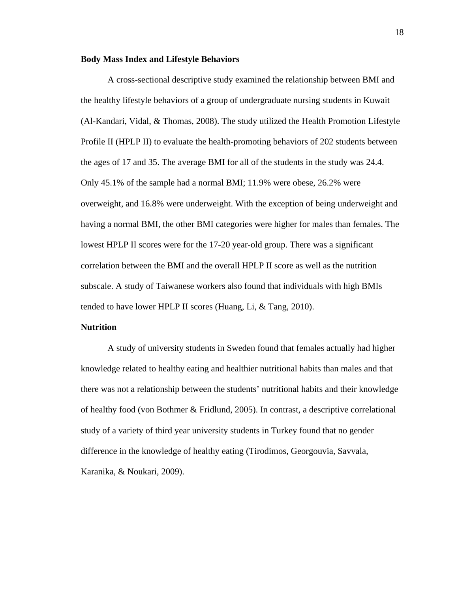#### **Body Mass Index and Lifestyle Behaviors**

A cross-sectional descriptive study examined the relationship between BMI and the healthy lifestyle behaviors of a group of undergraduate nursing students in Kuwait (Al-Kandari, Vidal, & Thomas, 2008). The study utilized the Health Promotion Lifestyle Profile II (HPLP II) to evaluate the health-promoting behaviors of 202 students between the ages of 17 and 35. The average BMI for all of the students in the study was 24.4. Only 45.1% of the sample had a normal BMI; 11.9% were obese, 26.2% were overweight, and 16.8% were underweight. With the exception of being underweight and having a normal BMI, the other BMI categories were higher for males than females. The lowest HPLP II scores were for the 17-20 year-old group. There was a significant correlation between the BMI and the overall HPLP II score as well as the nutrition subscale. A study of Taiwanese workers also found that individuals with high BMIs tended to have lower HPLP II scores (Huang, Li, & Tang, 2010).

#### **Nutrition**

A study of university students in Sweden found that females actually had higher knowledge related to healthy eating and healthier nutritional habits than males and that there was not a relationship between the students' nutritional habits and their knowledge of healthy food (von Bothmer & Fridlund, 2005). In contrast, a descriptive correlational study of a variety of third year university students in Turkey found that no gender difference in the knowledge of healthy eating (Tirodimos, Georgouvia, Savvala, Karanika, & Noukari, 2009).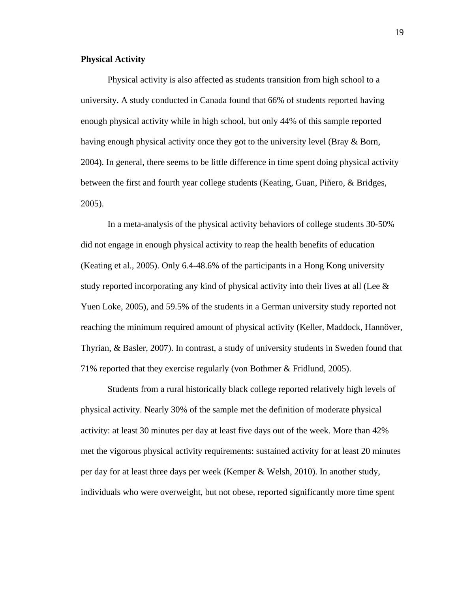#### **Physical Activity**

Physical activity is also affected as students transition from high school to a university. A study conducted in Canada found that 66% of students reported having enough physical activity while in high school, but only 44% of this sample reported having enough physical activity once they got to the university level (Bray & Born, 2004). In general, there seems to be little difference in time spent doing physical activity between the first and fourth year college students (Keating, Guan, Piñero, & Bridges, 2005).

In a meta-analysis of the physical activity behaviors of college students 30-50% did not engage in enough physical activity to reap the health benefits of education (Keating et al., 2005). Only 6.4-48.6% of the participants in a Hong Kong university study reported incorporating any kind of physical activity into their lives at all (Lee  $\&$ Yuen Loke, 2005), and 59.5% of the students in a German university study reported not reaching the minimum required amount of physical activity (Keller, Maddock, Hannöver, Thyrian, & Basler, 2007). In contrast, a study of university students in Sweden found that 71% reported that they exercise regularly (von Bothmer & Fridlund, 2005).

Students from a rural historically black college reported relatively high levels of physical activity. Nearly 30% of the sample met the definition of moderate physical activity: at least 30 minutes per day at least five days out of the week. More than 42% met the vigorous physical activity requirements: sustained activity for at least 20 minutes per day for at least three days per week (Kemper & Welsh, 2010). In another study, individuals who were overweight, but not obese, reported significantly more time spent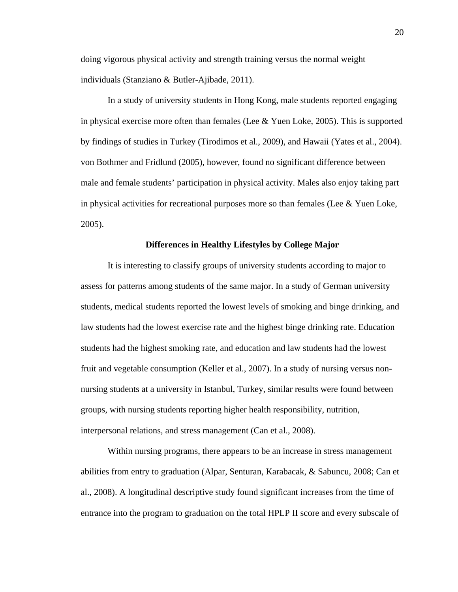doing vigorous physical activity and strength training versus the normal weight individuals (Stanziano & Butler-Ajibade, 2011).

In a study of university students in Hong Kong, male students reported engaging in physical exercise more often than females (Lee  $&$  Yuen Loke, 2005). This is supported by findings of studies in Turkey (Tirodimos et al., 2009), and Hawaii (Yates et al., 2004). von Bothmer and Fridlund (2005), however, found no significant difference between male and female students' participation in physical activity. Males also enjoy taking part in physical activities for recreational purposes more so than females (Lee  $\&$  Yuen Loke, 2005).

#### **Differences in Healthy Lifestyles by College Major**

It is interesting to classify groups of university students according to major to assess for patterns among students of the same major. In a study of German university students, medical students reported the lowest levels of smoking and binge drinking, and law students had the lowest exercise rate and the highest binge drinking rate. Education students had the highest smoking rate, and education and law students had the lowest fruit and vegetable consumption (Keller et al., 2007). In a study of nursing versus nonnursing students at a university in Istanbul, Turkey, similar results were found between groups, with nursing students reporting higher health responsibility, nutrition, interpersonal relations, and stress management (Can et al., 2008).

Within nursing programs, there appears to be an increase in stress management abilities from entry to graduation (Alpar, Senturan, Karabacak, & Sabuncu, 2008; Can et al., 2008). A longitudinal descriptive study found significant increases from the time of entrance into the program to graduation on the total HPLP II score and every subscale of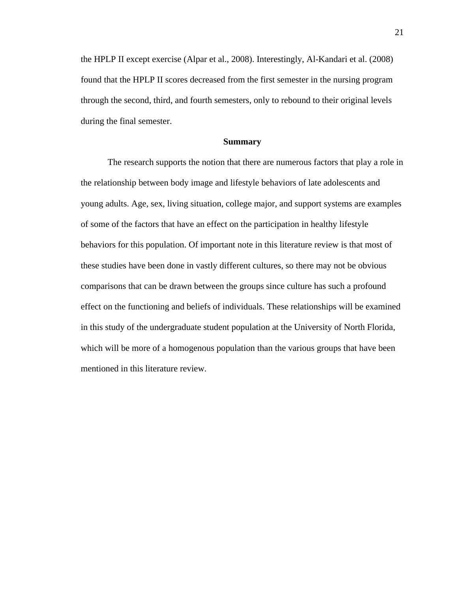the HPLP II except exercise (Alpar et al., 2008). Interestingly, Al-Kandari et al. (2008) found that the HPLP II scores decreased from the first semester in the nursing program through the second, third, and fourth semesters, only to rebound to their original levels during the final semester.

#### **Summary**

The research supports the notion that there are numerous factors that play a role in the relationship between body image and lifestyle behaviors of late adolescents and young adults. Age, sex, living situation, college major, and support systems are examples of some of the factors that have an effect on the participation in healthy lifestyle behaviors for this population. Of important note in this literature review is that most of these studies have been done in vastly different cultures, so there may not be obvious comparisons that can be drawn between the groups since culture has such a profound effect on the functioning and beliefs of individuals. These relationships will be examined in this study of the undergraduate student population at the University of North Florida, which will be more of a homogenous population than the various groups that have been mentioned in this literature review.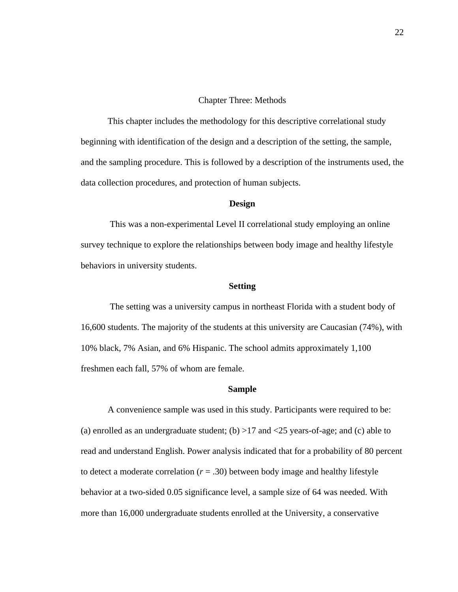#### Chapter Three: Methods

This chapter includes the methodology for this descriptive correlational study beginning with identification of the design and a description of the setting, the sample, and the sampling procedure. This is followed by a description of the instruments used, the data collection procedures, and protection of human subjects.

#### **Design**

This was a non-experimental Level II correlational study employing an online survey technique to explore the relationships between body image and healthy lifestyle behaviors in university students.

#### **Setting**

The setting was a university campus in northeast Florida with a student body of 16,600 students. The majority of the students at this university are Caucasian (74%), with 10% black, 7% Asian, and 6% Hispanic. The school admits approximately 1,100 freshmen each fall, 57% of whom are female.

#### **Sample**

A convenience sample was used in this study. Participants were required to be: (a) enrolled as an undergraduate student; (b)  $>17$  and  $<25$  years-of-age; and (c) able to read and understand English. Power analysis indicated that for a probability of 80 percent to detect a moderate correlation  $(r = .30)$  between body image and healthy lifestyle behavior at a two-sided 0.05 significance level, a sample size of 64 was needed. With more than 16,000 undergraduate students enrolled at the University, a conservative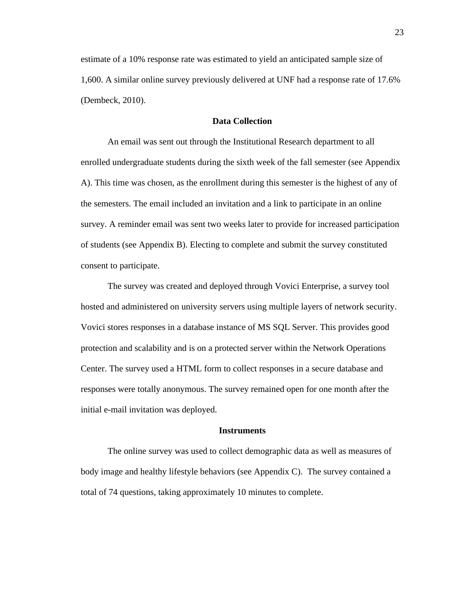estimate of a 10% response rate was estimated to yield an anticipated sample size of 1,600. A similar online survey previously delivered at UNF had a response rate of 17.6% (Dembeck, 2010).

#### **Data Collection**

An email was sent out through the Institutional Research department to all enrolled undergraduate students during the sixth week of the fall semester (see Appendix A). This time was chosen, as the enrollment during this semester is the highest of any of the semesters. The email included an invitation and a link to participate in an online survey. A reminder email was sent two weeks later to provide for increased participation of students (see Appendix B). Electing to complete and submit the survey constituted consent to participate.

The survey was created and deployed through Vovici Enterprise, a survey tool hosted and administered on university servers using multiple layers of network security. Vovici stores responses in a database instance of MS SQL Server. This provides good protection and scalability and is on a protected server within the Network Operations Center. The survey used a HTML form to collect responses in a secure database and responses were totally anonymous. The survey remained open for one month after the initial e-mail invitation was deployed.

#### **Instruments**

The online survey was used to collect demographic data as well as measures of body image and healthy lifestyle behaviors (see Appendix C). The survey contained a total of 74 questions, taking approximately 10 minutes to complete.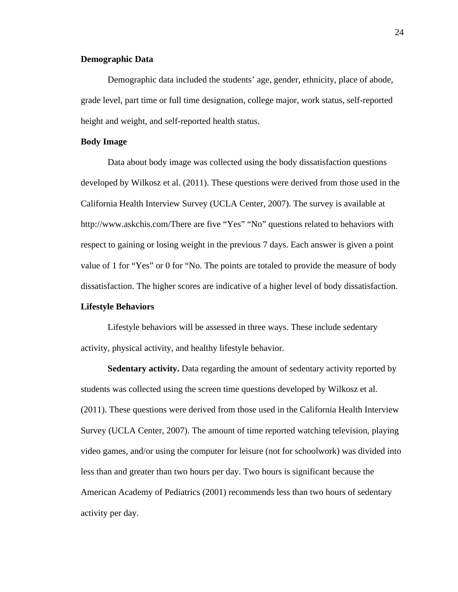#### **Demographic Data**

Demographic data included the students' age, gender, ethnicity, place of abode, grade level, part time or full time designation, college major, work status, self-reported height and weight, and self-reported health status.

#### **Body Image**

Data about body image was collected using the body dissatisfaction questions developed by Wilkosz et al. (2011). These questions were derived from those used in the California Health Interview Survey (UCLA Center, 2007). The survey is available at http://www.askchis.com/There are five "Yes" "No" questions related to behaviors with respect to gaining or losing weight in the previous 7 days. Each answer is given a point value of 1 for "Yes" or 0 for "No. The points are totaled to provide the measure of body dissatisfaction. The higher scores are indicative of a higher level of body dissatisfaction.

#### **Lifestyle Behaviors**

Lifestyle behaviors will be assessed in three ways. These include sedentary activity, physical activity, and healthy lifestyle behavior.

**Sedentary activity.** Data regarding the amount of sedentary activity reported by students was collected using the screen time questions developed by Wilkosz et al. (2011). These questions were derived from those used in the California Health Interview Survey (UCLA Center, 2007). The amount of time reported watching television, playing video games, and/or using the computer for leisure (not for schoolwork) was divided into less than and greater than two hours per day. Two hours is significant because the American Academy of Pediatrics (2001) recommends less than two hours of sedentary activity per day.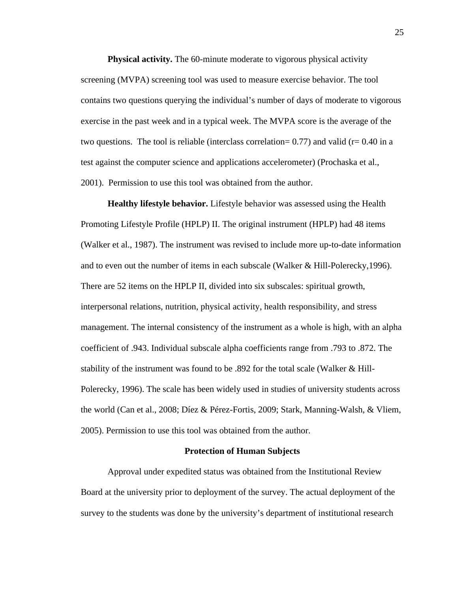**Physical activity.** The 60-minute moderate to vigorous physical activity screening (MVPA) screening tool was used to measure exercise behavior. The tool contains two questions querying the individual's number of days of moderate to vigorous exercise in the past week and in a typical week. The MVPA score is the average of the two questions. The tool is reliable (interclass correlation=  $0.77$ ) and valid (r=  $0.40$  in a test against the computer science and applications accelerometer) (Prochaska et al., 2001). Permission to use this tool was obtained from the author.

**Healthy lifestyle behavior.** Lifestyle behavior was assessed using the Health Promoting Lifestyle Profile (HPLP) II. The original instrument (HPLP) had 48 items (Walker et al., 1987). The instrument was revised to include more up-to-date information and to even out the number of items in each subscale (Walker & Hill-Polerecky,1996). There are 52 items on the HPLP II, divided into six subscales: spiritual growth, interpersonal relations, nutrition, physical activity, health responsibility, and stress management. The internal consistency of the instrument as a whole is high, with an alpha coefficient of .943. Individual subscale alpha coefficients range from .793 to .872. The stability of the instrument was found to be .892 for the total scale (Walker & Hill-Polerecky, 1996). The scale has been widely used in studies of university students across the world (Can et al., 2008; Díez & Pérez-Fortis, 2009; Stark, Manning-Walsh, & Vliem, 2005). Permission to use this tool was obtained from the author.

#### **Protection of Human Subjects**

Approval under expedited status was obtained from the Institutional Review Board at the university prior to deployment of the survey. The actual deployment of the survey to the students was done by the university's department of institutional research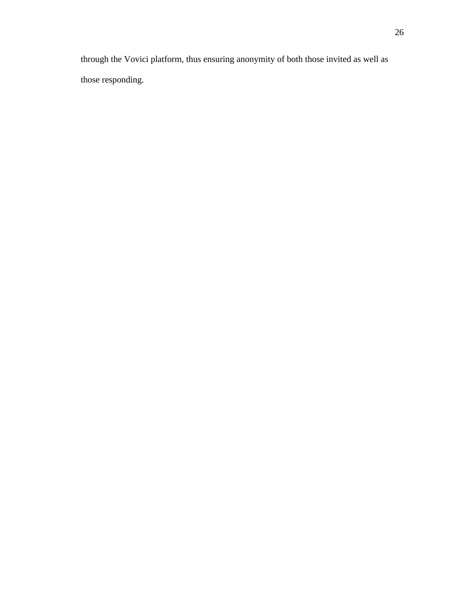through the Vovici platform, thus ensuring anonymity of both those invited as well as those responding.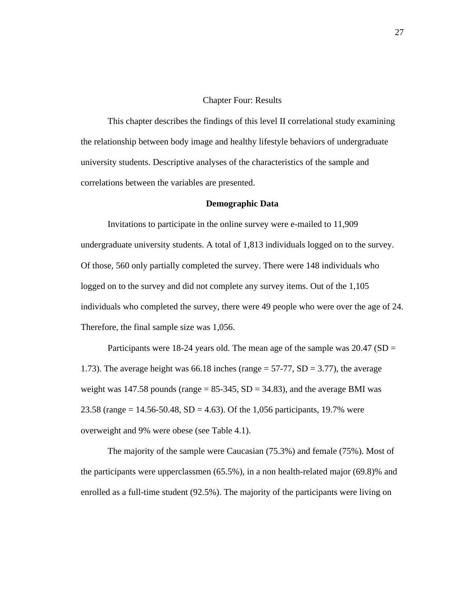#### Chapter Four: Results

This chapter describes the findings of this level II correlational study examining the relationship between body image and healthy lifestyle behaviors of undergraduate university students. Descriptive analyses of the characteristics of the sample and correlations between the variables are presented.

#### **Demographic Data**

Invitations to participate in the online survey were e-mailed to 11,909 undergraduate university students. A total of 1,813 individuals logged on to the survey. Of those, 560 only partially completed the survey. There were 148 individuals who logged on to the survey and did not complete any survey items. Out of the 1,105 individuals who completed the survey, there were 49 people who were over the age of 24. Therefore, the final sample size was 1,056.

Participants were 18-24 years old. The mean age of the sample was  $20.47$  (SD = 1.73). The average height was 66.18 inches (range = 57-77, SD = 3.77), the average weight was 147.58 pounds (range  $= 85-345$ , SD  $= 34.83$ ), and the average BMI was 23.58 (range =  $14.56 - 50.48$ , SD =  $4.63$ ). Of the 1,056 participants, 19.7% were overweight and 9% were obese (see Table 4.1).

The majority of the sample were Caucasian (75.3%) and female (75%). Most of the participants were upperclassmen (65.5%), in a non health-related major (69.8)% and enrolled as a full-time student (92.5%). The majority of the participants were living on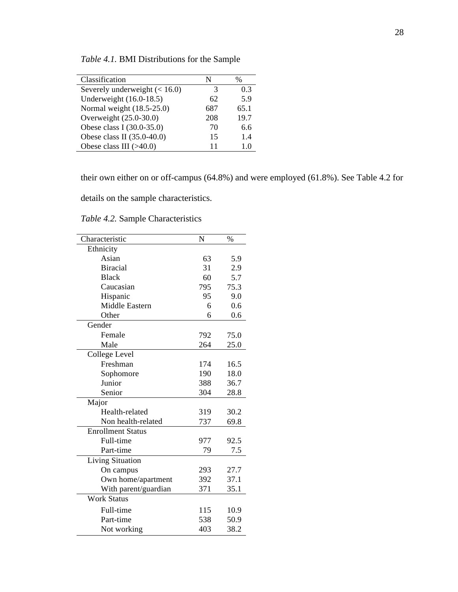| Classification                  | N   | $\%$ |
|---------------------------------|-----|------|
| Severely underweight $(< 16.0)$ | 3   | 03   |
| Underweight (16.0-18.5)         | 62  | 5.9  |
| Normal weight (18.5-25.0)       | 687 | 65.1 |
| Overweight (25.0-30.0)          | 208 | 19.7 |
| Obese class I (30.0-35.0)       | 70  | 6.6  |
| Obese class II (35.0-40.0)      | 15  | 1.4  |
| Obese class III $(>40.0)$       | 11  | I () |

*Table 4.1.* BMI Distributions for the Sample

their own either on or off-campus (64.8%) and were employed (61.8%). See Table 4.2 for

details on the sample characteristics.

| Characteristic           | N   | $\%$ |
|--------------------------|-----|------|
| Ethnicity                |     |      |
| Asian                    | 63  | 5.9  |
| <b>Biracial</b>          | 31  | 2.9  |
| <b>Black</b>             | 60  | 5.7  |
| Caucasian                | 795 | 75.3 |
| Hispanic                 | 95  | 9.0  |
| <b>Middle Eastern</b>    | 6   | 0.6  |
| Other                    | 6   | 0.6  |
| Gender                   |     |      |
| Female                   | 792 | 75.0 |
| Male                     | 264 | 25.0 |
| College Level            |     |      |
| Freshman                 | 174 | 16.5 |
| Sophomore                | 190 | 18.0 |
| Junior                   | 388 | 36.7 |
| Senior                   | 304 | 28.8 |
| Major                    |     |      |
| Health-related           | 319 | 30.2 |
| Non health-related       | 737 | 69.8 |
| <b>Enrollment Status</b> |     |      |
| Full-time                | 977 | 92.5 |
| Part-time                | 79  | 7.5  |
| <b>Living Situation</b>  |     |      |
| On campus                | 293 | 27.7 |
| Own home/apartment       | 392 | 37.1 |
| With parent/guardian     | 371 | 35.1 |
| <b>Work Status</b>       |     |      |
| Full-time                | 115 | 10.9 |
| Part-time                | 538 | 50.9 |
| Not working              | 403 | 38.2 |

*Table 4.2.* Sample Characteristics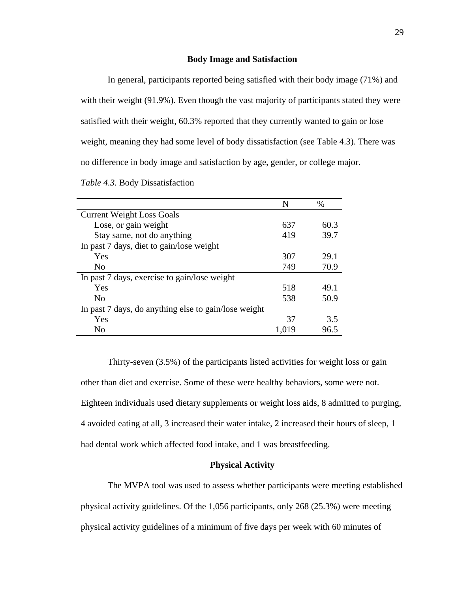#### **Body Image and Satisfaction**

In general, participants reported being satisfied with their body image (71%) and with their weight (91.9%). Even though the vast majority of participants stated they were satisfied with their weight, 60.3% reported that they currently wanted to gain or lose weight, meaning they had some level of body dissatisfaction (see Table 4.3). There was no difference in body image and satisfaction by age, gender, or college major.

| Table 4.3. Body Dissatisfaction |
|---------------------------------|
|---------------------------------|

|                                                      | N     | $\%$ |
|------------------------------------------------------|-------|------|
| <b>Current Weight Loss Goals</b>                     |       |      |
| Lose, or gain weight                                 | 637   | 60.3 |
| Stay same, not do anything                           | 419   | 39.7 |
| In past 7 days, diet to gain/lose weight             |       |      |
| Yes                                                  | 307   | 29.1 |
| N <sub>0</sub>                                       | 749   | 70.9 |
| In past 7 days, exercise to gain/lose weight         |       |      |
| Yes                                                  | 518   | 49.1 |
| N <sub>0</sub>                                       | 538   | 50.9 |
| In past 7 days, do anything else to gain/lose weight |       |      |
| Yes                                                  | 37    | 3.5  |
| N <sub>o</sub>                                       | 1,019 | 96.5 |

Thirty-seven (3.5%) of the participants listed activities for weight loss or gain other than diet and exercise. Some of these were healthy behaviors, some were not. Eighteen individuals used dietary supplements or weight loss aids, 8 admitted to purging, 4 avoided eating at all, 3 increased their water intake, 2 increased their hours of sleep, 1 had dental work which affected food intake, and 1 was breastfeeding.

#### **Physical Activity**

The MVPA tool was used to assess whether participants were meeting established physical activity guidelines. Of the 1,056 participants, only 268 (25.3%) were meeting physical activity guidelines of a minimum of five days per week with 60 minutes of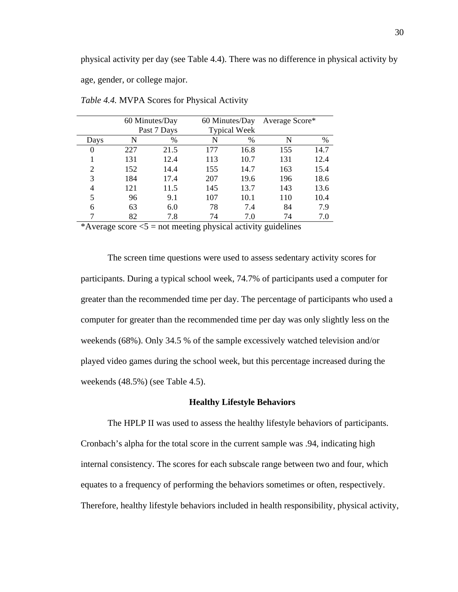physical activity per day (see Table 4.4). There was no difference in physical activity by

age, gender, or college major.

|                |     | 60 Minutes/Day | 60 Minutes/Day |                     | Average Score* |      |
|----------------|-----|----------------|----------------|---------------------|----------------|------|
|                |     | Past 7 Days    |                | <b>Typical Week</b> |                |      |
| Days           | N   | %              | N              | $\%$                | N              | $\%$ |
| $\Omega$       | 227 | 21.5           | 177            | 16.8                | 155            | 14.7 |
|                | 131 | 12.4           | 113            | 10.7                | 131            | 12.4 |
| $\overline{c}$ | 152 | 14.4           | 155            | 14.7                | 163            | 15.4 |
| 3              | 184 | 17.4           | 207            | 19.6                | 196            | 18.6 |
| 4              | 121 | 11.5           | 145            | 13.7                | 143            | 13.6 |
| 5              | 96  | 9.1            | 107            | 10.1                | 110            | 10.4 |
| 6              | 63  | 6.0            | 78             | 7.4                 | 84             | 7.9  |
|                | 82  | 7.8            | 74             | 7.0                 | 74             | 7.0  |
|                |     |                |                |                     |                |      |

*Table 4.4.* MVPA Scores for Physical Activity

\*Average score  $\leq 5$  = not meeting physical activity guidelines

The screen time questions were used to assess sedentary activity scores for participants. During a typical school week, 74.7% of participants used a computer for greater than the recommended time per day. The percentage of participants who used a computer for greater than the recommended time per day was only slightly less on the weekends (68%). Only 34.5 % of the sample excessively watched television and/or played video games during the school week, but this percentage increased during the weekends (48.5%) (see Table 4.5).

#### **Healthy Lifestyle Behaviors**

The HPLP II was used to assess the healthy lifestyle behaviors of participants. Cronbach's alpha for the total score in the current sample was .94, indicating high internal consistency. The scores for each subscale range between two and four, which equates to a frequency of performing the behaviors sometimes or often, respectively. Therefore, healthy lifestyle behaviors included in health responsibility, physical activity,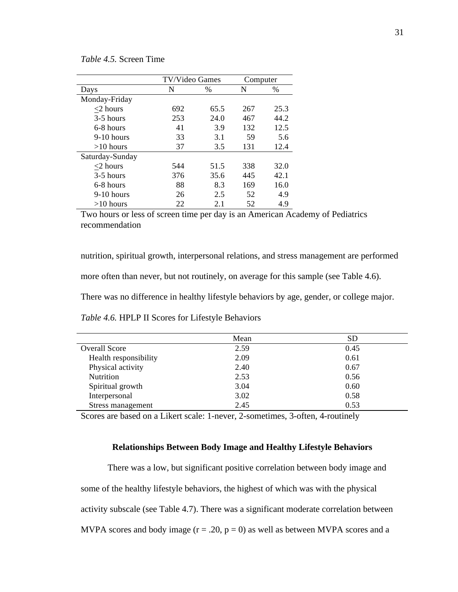*Table 4.5.* Screen Time

|                 | TV/Video Games |      | Computer |      |
|-----------------|----------------|------|----------|------|
| Days            | N              | $\%$ | N        | $\%$ |
| Monday-Friday   |                |      |          |      |
| $<$ 2 hours     | 692            | 65.5 | 267      | 25.3 |
| $3-5$ hours     | 253            | 24.0 | 467      | 44.2 |
| 6-8 hours       | 41             | 3.9  | 132      | 12.5 |
| $9-10$ hours    | 33             | 3.1  | 59       | 5.6  |
| $>10$ hours     | 37             | 3.5  | 131      | 12.4 |
| Saturday-Sunday |                |      |          |      |
| $<$ 2 hours     | 544            | 51.5 | 338      | 32.0 |
| 3-5 hours       | 376            | 35.6 | 445      | 42.1 |
| 6-8 hours       | 88             | 8.3  | 169      | 16.0 |
| $9-10$ hours    | 26             | 2.5  | 52       | 4.9  |
| $>10$ hours     | 22             | 2.1  | 52       | 4.9  |

Two hours or less of screen time per day is an American Academy of Pediatrics recommendation

nutrition, spiritual growth, interpersonal relations, and stress management are performed

more often than never, but not routinely, on average for this sample (see Table 4.6).

There was no difference in healthy lifestyle behaviors by age, gender, or college major.

|                       | Mean | <b>SD</b> |
|-----------------------|------|-----------|
| <b>Overall Score</b>  | 2.59 | 0.45      |
| Health responsibility | 2.09 | 0.61      |
| Physical activity     | 2.40 | 0.67      |
| <b>Nutrition</b>      | 2.53 | 0.56      |
| Spiritual growth      | 3.04 | 0.60      |
| Interpersonal         | 3.02 | 0.58      |
| Stress management     | 2.45 | 0.53      |

*Table 4.6.* HPLP II Scores for Lifestyle Behaviors

Scores are based on a Likert scale: 1-never, 2-sometimes, 3-often, 4-routinely

#### **Relationships Between Body Image and Healthy Lifestyle Behaviors**

There was a low, but significant positive correlation between body image and some of the healthy lifestyle behaviors, the highest of which was with the physical activity subscale (see Table 4.7). There was a significant moderate correlation between MVPA scores and body image  $(r = .20, p = 0)$  as well as between MVPA scores and a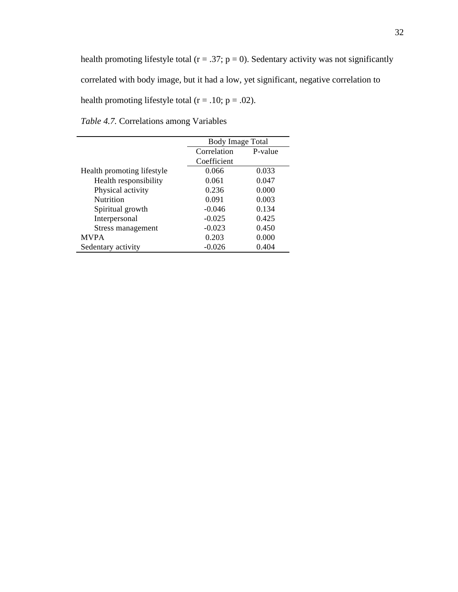health promoting lifestyle total ( $r = .37$ ;  $p = 0$ ). Sedentary activity was not significantly correlated with body image, but it had a low, yet significant, negative correlation to health promoting lifestyle total ( $r = .10$ ;  $p = .02$ ).

| <i>Table 4.7.</i> Correlations among Variables |  |
|------------------------------------------------|--|
|------------------------------------------------|--|

|                            | <b>Body Image Total</b> |       |  |
|----------------------------|-------------------------|-------|--|
|                            | Correlation<br>P-value  |       |  |
|                            | Coefficient             |       |  |
| Health promoting lifestyle | 0.066                   | 0.033 |  |
| Health responsibility      | 0.061                   | 0.047 |  |
| Physical activity          | 0.236                   | 0.000 |  |
| <b>Nutrition</b>           | 0.091                   | 0.003 |  |
| Spiritual growth           | $-0.046$                | 0.134 |  |
| Interpersonal              | $-0.025$                | 0.425 |  |
| Stress management          | $-0.023$                | 0.450 |  |
| <b>MVPA</b>                | 0.203                   | 0.000 |  |
| Sedentary activity         | $-0.026$                | 0.404 |  |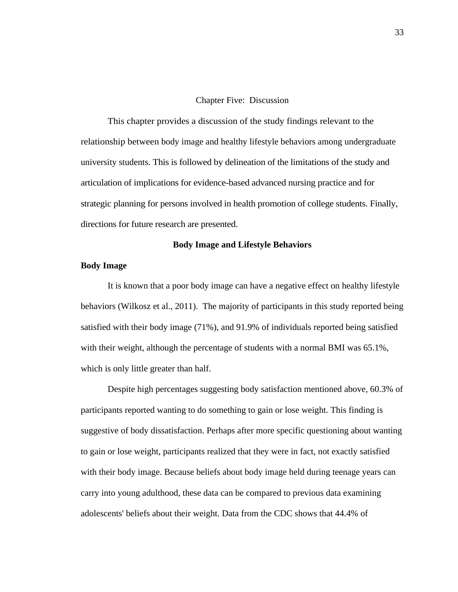#### Chapter Five: Discussion

This chapter provides a discussion of the study findings relevant to the relationship between body image and healthy lifestyle behaviors among undergraduate university students. This is followed by delineation of the limitations of the study and articulation of implications for evidence-based advanced nursing practice and for strategic planning for persons involved in health promotion of college students. Finally, directions for future research are presented.

#### **Body Image and Lifestyle Behaviors**

#### **Body Image**

It is known that a poor body image can have a negative effect on healthy lifestyle behaviors (Wilkosz et al., 2011). The majority of participants in this study reported being satisfied with their body image (71%), and 91.9% of individuals reported being satisfied with their weight, although the percentage of students with a normal BMI was 65.1%, which is only little greater than half.

Despite high percentages suggesting body satisfaction mentioned above, 60.3% of participants reported wanting to do something to gain or lose weight. This finding is suggestive of body dissatisfaction. Perhaps after more specific questioning about wanting to gain or lose weight, participants realized that they were in fact, not exactly satisfied with their body image. Because beliefs about body image held during teenage years can carry into young adulthood, these data can be compared to previous data examining adolescents' beliefs about their weight. Data from the CDC shows that 44.4% of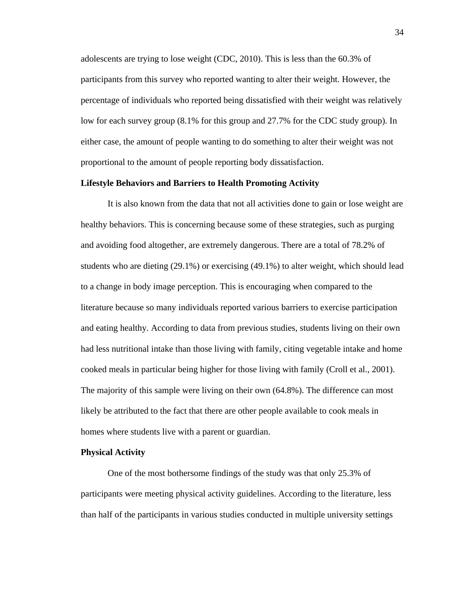adolescents are trying to lose weight (CDC, 2010). This is less than the 60.3% of participants from this survey who reported wanting to alter their weight. However, the percentage of individuals who reported being dissatisfied with their weight was relatively low for each survey group (8.1% for this group and 27.7% for the CDC study group). In either case, the amount of people wanting to do something to alter their weight was not proportional to the amount of people reporting body dissatisfaction.

#### **Lifestyle Behaviors and Barriers to Health Promoting Activity**

It is also known from the data that not all activities done to gain or lose weight are healthy behaviors. This is concerning because some of these strategies, such as purging and avoiding food altogether, are extremely dangerous. There are a total of 78.2% of students who are dieting (29.1%) or exercising (49.1%) to alter weight, which should lead to a change in body image perception. This is encouraging when compared to the literature because so many individuals reported various barriers to exercise participation and eating healthy. According to data from previous studies, students living on their own had less nutritional intake than those living with family, citing vegetable intake and home cooked meals in particular being higher for those living with family (Croll et al., 2001). The majority of this sample were living on their own (64.8%). The difference can most likely be attributed to the fact that there are other people available to cook meals in homes where students live with a parent or guardian.

#### **Physical Activity**

One of the most bothersome findings of the study was that only 25.3% of participants were meeting physical activity guidelines. According to the literature, less than half of the participants in various studies conducted in multiple university settings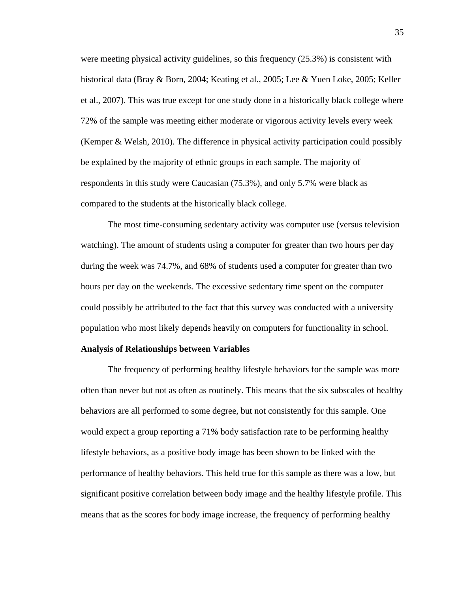were meeting physical activity guidelines, so this frequency (25.3%) is consistent with historical data (Bray & Born, 2004; Keating et al., 2005; Lee & Yuen Loke, 2005; Keller et al., 2007). This was true except for one study done in a historically black college where 72% of the sample was meeting either moderate or vigorous activity levels every week (Kemper & Welsh, 2010). The difference in physical activity participation could possibly be explained by the majority of ethnic groups in each sample. The majority of respondents in this study were Caucasian (75.3%), and only 5.7% were black as compared to the students at the historically black college.

The most time-consuming sedentary activity was computer use (versus television watching). The amount of students using a computer for greater than two hours per day during the week was 74.7%, and 68% of students used a computer for greater than two hours per day on the weekends. The excessive sedentary time spent on the computer could possibly be attributed to the fact that this survey was conducted with a university population who most likely depends heavily on computers for functionality in school.

#### **Analysis of Relationships between Variables**

The frequency of performing healthy lifestyle behaviors for the sample was more often than never but not as often as routinely. This means that the six subscales of healthy behaviors are all performed to some degree, but not consistently for this sample. One would expect a group reporting a 71% body satisfaction rate to be performing healthy lifestyle behaviors, as a positive body image has been shown to be linked with the performance of healthy behaviors. This held true for this sample as there was a low, but significant positive correlation between body image and the healthy lifestyle profile. This means that as the scores for body image increase, the frequency of performing healthy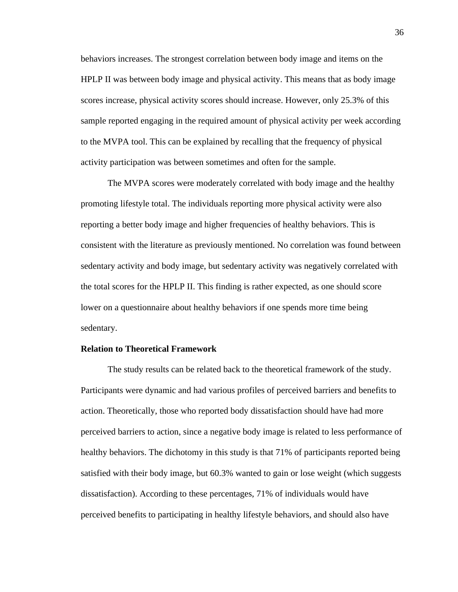behaviors increases. The strongest correlation between body image and items on the HPLP II was between body image and physical activity. This means that as body image scores increase, physical activity scores should increase. However, only 25.3% of this sample reported engaging in the required amount of physical activity per week according to the MVPA tool. This can be explained by recalling that the frequency of physical activity participation was between sometimes and often for the sample.

The MVPA scores were moderately correlated with body image and the healthy promoting lifestyle total. The individuals reporting more physical activity were also reporting a better body image and higher frequencies of healthy behaviors. This is consistent with the literature as previously mentioned. No correlation was found between sedentary activity and body image, but sedentary activity was negatively correlated with the total scores for the HPLP II. This finding is rather expected, as one should score lower on a questionnaire about healthy behaviors if one spends more time being sedentary.

#### **Relation to Theoretical Framework**

The study results can be related back to the theoretical framework of the study. Participants were dynamic and had various profiles of perceived barriers and benefits to action. Theoretically, those who reported body dissatisfaction should have had more perceived barriers to action, since a negative body image is related to less performance of healthy behaviors. The dichotomy in this study is that 71% of participants reported being satisfied with their body image, but 60.3% wanted to gain or lose weight (which suggests dissatisfaction). According to these percentages, 71% of individuals would have perceived benefits to participating in healthy lifestyle behaviors, and should also have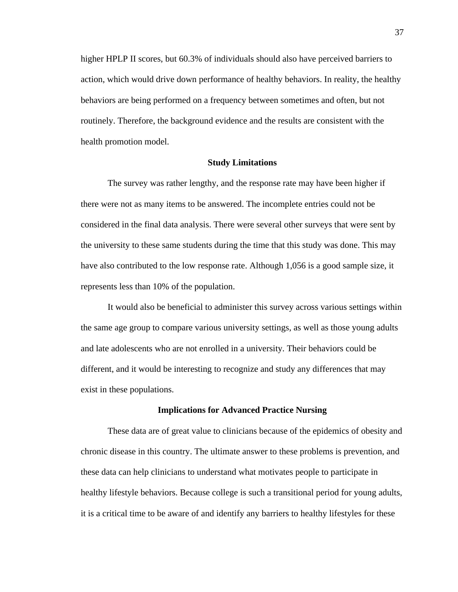higher HPLP II scores, but 60.3% of individuals should also have perceived barriers to action, which would drive down performance of healthy behaviors. In reality, the healthy behaviors are being performed on a frequency between sometimes and often, but not routinely. Therefore, the background evidence and the results are consistent with the health promotion model.

#### **Study Limitations**

The survey was rather lengthy, and the response rate may have been higher if there were not as many items to be answered. The incomplete entries could not be considered in the final data analysis. There were several other surveys that were sent by the university to these same students during the time that this study was done. This may have also contributed to the low response rate. Although 1,056 is a good sample size, it represents less than 10% of the population.

It would also be beneficial to administer this survey across various settings within the same age group to compare various university settings, as well as those young adults and late adolescents who are not enrolled in a university. Their behaviors could be different, and it would be interesting to recognize and study any differences that may exist in these populations.

#### **Implications for Advanced Practice Nursing**

These data are of great value to clinicians because of the epidemics of obesity and chronic disease in this country. The ultimate answer to these problems is prevention, and these data can help clinicians to understand what motivates people to participate in healthy lifestyle behaviors. Because college is such a transitional period for young adults, it is a critical time to be aware of and identify any barriers to healthy lifestyles for these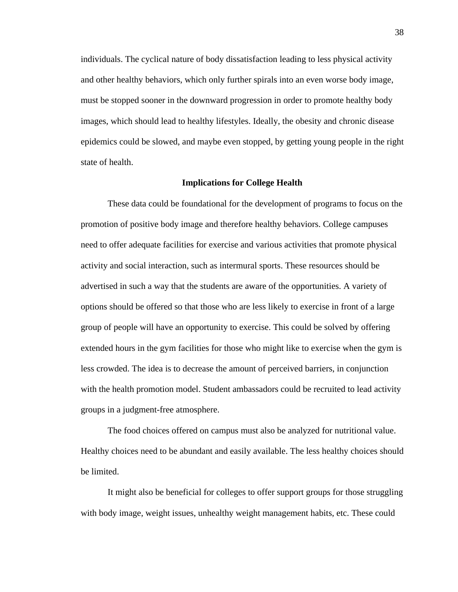individuals. The cyclical nature of body dissatisfaction leading to less physical activity and other healthy behaviors, which only further spirals into an even worse body image, must be stopped sooner in the downward progression in order to promote healthy body images, which should lead to healthy lifestyles. Ideally, the obesity and chronic disease epidemics could be slowed, and maybe even stopped, by getting young people in the right state of health.

#### **Implications for College Health**

These data could be foundational for the development of programs to focus on the promotion of positive body image and therefore healthy behaviors. College campuses need to offer adequate facilities for exercise and various activities that promote physical activity and social interaction, such as intermural sports. These resources should be advertised in such a way that the students are aware of the opportunities. A variety of options should be offered so that those who are less likely to exercise in front of a large group of people will have an opportunity to exercise. This could be solved by offering extended hours in the gym facilities for those who might like to exercise when the gym is less crowded. The idea is to decrease the amount of perceived barriers, in conjunction with the health promotion model. Student ambassadors could be recruited to lead activity groups in a judgment-free atmosphere.

The food choices offered on campus must also be analyzed for nutritional value. Healthy choices need to be abundant and easily available. The less healthy choices should be limited.

It might also be beneficial for colleges to offer support groups for those struggling with body image, weight issues, unhealthy weight management habits, etc. These could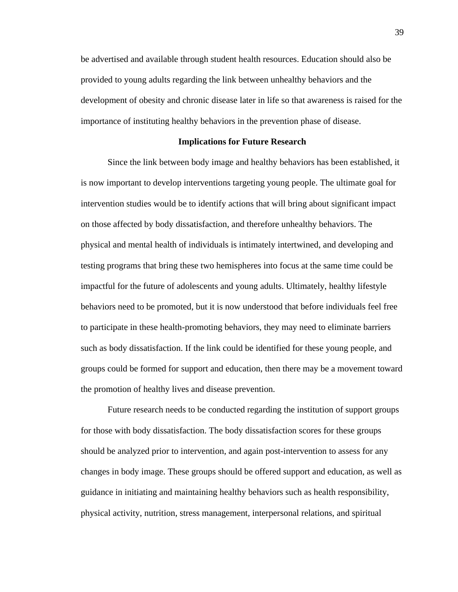be advertised and available through student health resources. Education should also be provided to young adults regarding the link between unhealthy behaviors and the development of obesity and chronic disease later in life so that awareness is raised for the importance of instituting healthy behaviors in the prevention phase of disease.

#### **Implications for Future Research**

Since the link between body image and healthy behaviors has been established, it is now important to develop interventions targeting young people. The ultimate goal for intervention studies would be to identify actions that will bring about significant impact on those affected by body dissatisfaction, and therefore unhealthy behaviors. The physical and mental health of individuals is intimately intertwined, and developing and testing programs that bring these two hemispheres into focus at the same time could be impactful for the future of adolescents and young adults. Ultimately, healthy lifestyle behaviors need to be promoted, but it is now understood that before individuals feel free to participate in these health-promoting behaviors, they may need to eliminate barriers such as body dissatisfaction. If the link could be identified for these young people, and groups could be formed for support and education, then there may be a movement toward the promotion of healthy lives and disease prevention.

Future research needs to be conducted regarding the institution of support groups for those with body dissatisfaction. The body dissatisfaction scores for these groups should be analyzed prior to intervention, and again post-intervention to assess for any changes in body image. These groups should be offered support and education, as well as guidance in initiating and maintaining healthy behaviors such as health responsibility, physical activity, nutrition, stress management, interpersonal relations, and spiritual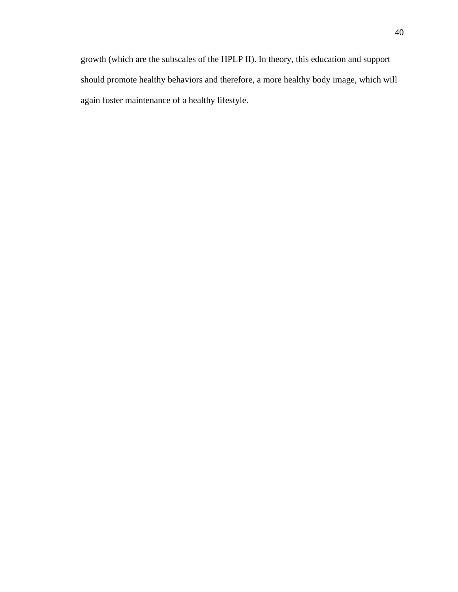growth (which are the subscales of the HPLP II). In theory, this education and support should promote healthy behaviors and therefore, a more healthy body image, which will again foster maintenance of a healthy lifestyle.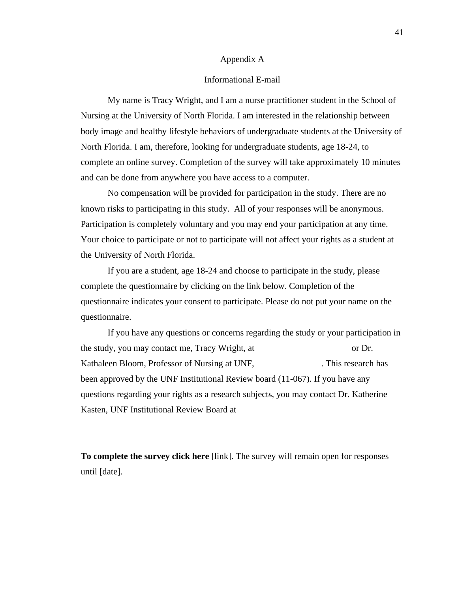#### Appendix A

#### Informational E-mail

My name is Tracy Wright, and I am a nurse practitioner student in the School of Nursing at the University of North Florida. I am interested in the relationship between body image and healthy lifestyle behaviors of undergraduate students at the University of North Florida. I am, therefore, looking for undergraduate students, age 18-24, to complete an online survey. Completion of the survey will take approximately 10 minutes and can be done from anywhere you have access to a computer.

No compensation will be provided for participation in the study. There are no known risks to participating in this study. All of your responses will be anonymous. Participation is completely voluntary and you may end your participation at any time. Your choice to participate or not to participate will not affect your rights as a student at the University of North Florida.

If you are a student, age 18-24 and choose to participate in the study, please complete the questionnaire by clicking on the link below. Completion of the questionnaire indicates your consent to participate. Please do not put your name on the questionnaire.

If you have any questions or concerns regarding the study or your participation in the study, you may contact me, Tracy Wright, at or Dr. Kathaleen Bloom, Professor of Nursing at UNF, This research has been approved by the UNF Institutional Review board (11-067). If you have any questions regarding your rights as a research subjects, you may contact Dr. Katherine Kasten, UNF Institutional Review Board at

**To complete the survey click here** [link]. The survey will remain open for responses until [date].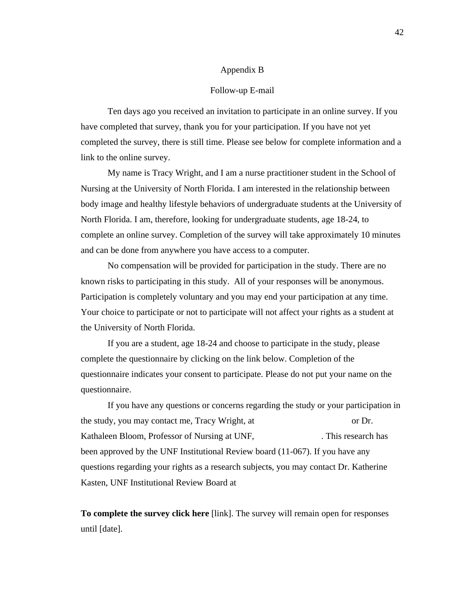#### Appendix B

#### Follow-up E-mail

Ten days ago you received an invitation to participate in an online survey. If you have completed that survey, thank you for your participation. If you have not yet completed the survey, there is still time. Please see below for complete information and a link to the online survey.

My name is Tracy Wright, and I am a nurse practitioner student in the School of Nursing at the University of North Florida. I am interested in the relationship between body image and healthy lifestyle behaviors of undergraduate students at the University of North Florida. I am, therefore, looking for undergraduate students, age 18-24, to complete an online survey. Completion of the survey will take approximately 10 minutes and can be done from anywhere you have access to a computer.

No compensation will be provided for participation in the study. There are no known risks to participating in this study. All of your responses will be anonymous. Participation is completely voluntary and you may end your participation at any time. Your choice to participate or not to participate will not affect your rights as a student at the University of North Florida.

If you are a student, age 18-24 and choose to participate in the study, please complete the questionnaire by clicking on the link below. Completion of the questionnaire indicates your consent to participate. Please do not put your name on the questionnaire.

If you have any questions or concerns regarding the study or your participation in the study, you may contact me, Tracy Wright, at or Dr. Kathaleen Bloom, Professor of Nursing at UNF, This research has been approved by the UNF Institutional Review board (11-067). If you have any questions regarding your rights as a research subjects, you may contact Dr. Katherine Kasten, UNF Institutional Review Board at

**To complete the survey click here** [link]. The survey will remain open for responses until [date].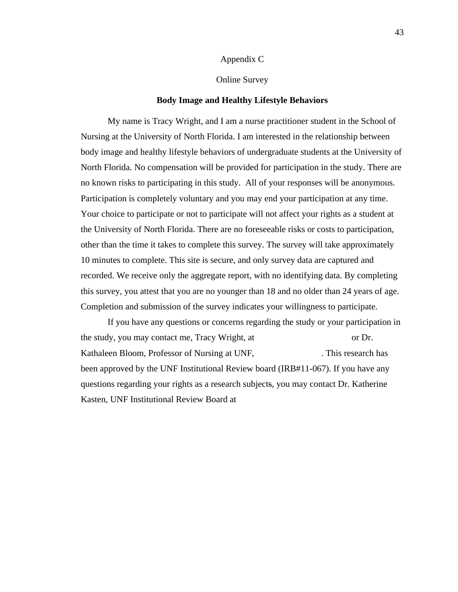#### Appendix C

#### Online Survey

#### **Body Image and Healthy Lifestyle Behaviors**

My name is Tracy Wright, and I am a nurse practitioner student in the School of Nursing at the University of North Florida. I am interested in the relationship between body image and healthy lifestyle behaviors of undergraduate students at the University of North Florida. No compensation will be provided for participation in the study. There are no known risks to participating in this study. All of your responses will be anonymous. Participation is completely voluntary and you may end your participation at any time. Your choice to participate or not to participate will not affect your rights as a student at the University of North Florida. There are no foreseeable risks or costs to participation, other than the time it takes to complete this survey. The survey will take approximately 10 minutes to complete. This site is secure, and only survey data are captured and recorded. We receive only the aggregate report, with no identifying data. By completing this survey, you attest that you are no younger than 18 and no older than 24 years of age. Completion and submission of the survey indicates your willingness to participate.

If you have any questions or concerns regarding the study or your participation in the study, you may contact me, Tracy Wright, at or Dr. Kathaleen Bloom, Professor of Nursing at UNF, This research has been approved by the UNF Institutional Review board (IRB#11-067). If you have any questions regarding your rights as a research subjects, you may contact Dr. Katherine Kasten, UNF Institutional Review Board at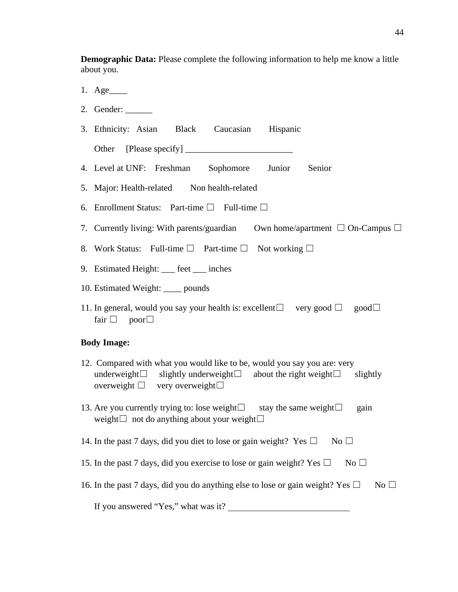**Demographic Data:** Please complete the following information to help me know a little about you.

- 1. Age\_\_\_\_
- 2. Gender:
- 3. Ethnicity: Asian Black Caucasian Hispanic
	- Other [Please specify]
- 4. Level at UNF: Freshman Sophomore Junior Senior
- 5. Major: Health-related Non health-related
- 6. Enrollment Status: Part-time  $\Box$  Full-time  $\Box$
- 7. Currently living: With parents/guardian Own home/apartment  $\Box$  On-Campus  $\Box$
- 8. Work Status: Full-time  $\Box$  Part-time  $\Box$  Not working  $\Box$
- 9. Estimated Height: \_\_\_ feet \_\_\_ inches
- 10. Estimated Weight: \_\_\_\_ pounds
- 11. In general, would you say your health is: excellent $\Box$  very good  $\Box$  good $\Box$ fair  $\Box$  poor $\Box$

#### **Body Image:**

- 12. Compared with what you would like to be, would you say you are: very underweight $□$  slightly underweight $□$  about the right weight $□$  slightly overweight  $□$  very overweight $□$
- 13. Are you currently trying to: lose weight $□$  stay the same weight $□$  gain weight $□$  not do anything about your weight $□$
- 14. In the past 7 days, did you diet to lose or gain weight? Yes  $\Box$  No  $\Box$
- 15. In the past 7 days, did you exercise to lose or gain weight? Yes  $\square$  No  $\square$
- 16. In the past 7 days, did you do anything else to lose or gain weight? Yes  $\square$  No  $\square$

If you answered "Yes," what was it?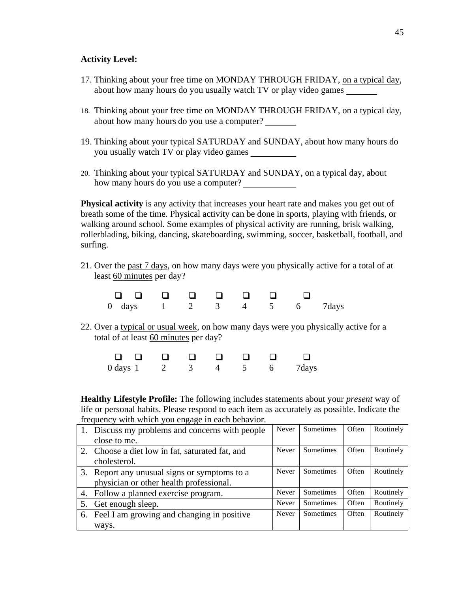### **Activity Level:**

- 17. Thinking about your free time on MONDAY THROUGH FRIDAY, on a typical day, about how many hours do you usually watch TV or play video games
- 18. Thinking about your free time on MONDAY THROUGH FRIDAY, on a typical day, about how many hours do you use a computer?
- 19. Thinking about your typical SATURDAY and SUNDAY, about how many hours do you usually watch TV or play video games
- 20. Thinking about your typical SATURDAY and SUNDAY, on a typical day, about how many hours do you use a computer?

**Physical activity** is any activity that increases your heart rate and makes you get out of breath some of the time. Physical activity can be done in sports, playing with friends, or walking around school. Some examples of physical activity are running, brisk walking, rollerblading, biking, dancing, skateboarding, swimming, soccer, basketball, football, and surfing.

21. Over the past 7 days, on how many days were you physically active for a total of at least 60 minutes per day?

| 0 days 1 2 3 4 5 6 7 days |  |  |  |  |
|---------------------------|--|--|--|--|

22. Over a typical or usual week, on how many days were you physically active for a total of at least 60 minutes per day?

| $0$ days $1$ |  |  |  | 7 days |
|--------------|--|--|--|--------|

**Healthy Lifestyle Profile:** The following includes statements about your *present* way of life or personal habits. Please respond to each item as accurately as possible. Indicate the frequency with which you engage in each behavior.

| 1. Discuss my problems and concerns with people | Never | <b>Sometimes</b> | Often | Routinely |
|-------------------------------------------------|-------|------------------|-------|-----------|
| close to me.                                    |       |                  |       |           |
| 2. Choose a diet low in fat, saturated fat, and | Never | Sometimes        | Often | Routinely |
| cholesterol.                                    |       |                  |       |           |
| 3. Report any unusual signs or symptoms to a    | Never | Sometimes        | Often | Routinely |
| physician or other health professional.         |       |                  |       |           |
| 4. Follow a planned exercise program.           | Never | Sometimes        | Often | Routinely |
| 5. Get enough sleep.                            | Never | Sometimes        | Often | Routinely |
| 6. Feel I am growing and changing in positive   | Never | Sometimes        | Often | Routinely |
| ways.                                           |       |                  |       |           |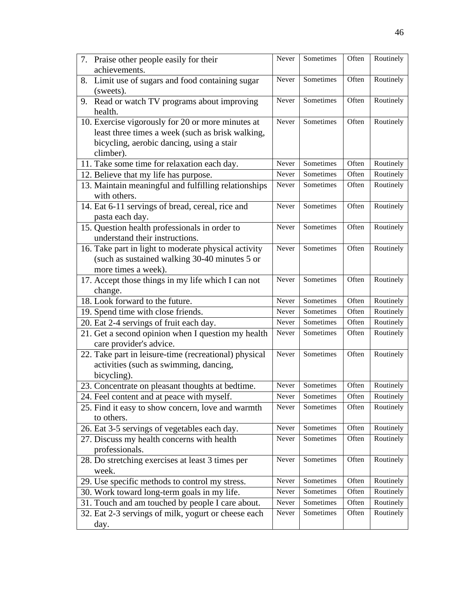| 7. Praise other people easily for their                 | Never | Sometimes | Often | Routinely |
|---------------------------------------------------------|-------|-----------|-------|-----------|
| achievements.                                           |       |           |       |           |
| Limit use of sugars and food containing sugar<br>8.     | Never | Sometimes | Often | Routinely |
| (sweets).                                               |       | Sometimes |       | Routinely |
| 9. Read or watch TV programs about improving<br>health. | Never |           | Often |           |
| 10. Exercise vigorously for 20 or more minutes at       | Never | Sometimes | Often | Routinely |
| least three times a week (such as brisk walking,        |       |           |       |           |
| bicycling, aerobic dancing, using a stair               |       |           |       |           |
| climber).                                               |       |           |       |           |
| 11. Take some time for relaxation each day.             | Never | Sometimes | Often | Routinely |
| 12. Believe that my life has purpose.                   | Never | Sometimes | Often | Routinely |
| 13. Maintain meaningful and fulfilling relationships    | Never | Sometimes | Often | Routinely |
| with others.                                            |       |           |       |           |
| 14. Eat 6-11 servings of bread, cereal, rice and        | Never | Sometimes | Often | Routinely |
| pasta each day.                                         |       |           |       |           |
| 15. Question health professionals in order to           | Never | Sometimes | Often | Routinely |
| understand their instructions.                          |       |           |       |           |
| 16. Take part in light to moderate physical activity    | Never | Sometimes | Often | Routinely |
| (such as sustained walking 30-40 minutes 5 or           |       |           |       |           |
| more times a week).                                     |       |           |       |           |
| 17. Accept those things in my life which I can not      | Never | Sometimes | Often | Routinely |
| change.                                                 |       |           |       |           |
| 18. Look forward to the future.                         | Never | Sometimes | Often | Routinely |
| 19. Spend time with close friends.                      | Never | Sometimes | Often | Routinely |
| 20. Eat 2-4 servings of fruit each day.                 | Never | Sometimes | Often | Routinely |
| 21. Get a second opinion when I question my health      | Never | Sometimes | Often | Routinely |
| care provider's advice.                                 |       |           |       |           |
| 22. Take part in leisure-time (recreational) physical   | Never | Sometimes | Often | Routinely |
| activities (such as swimming, dancing,                  |       |           |       |           |
| bicycling).                                             |       |           |       |           |
| 23. Concentrate on pleasant thoughts at bedtime.        | Never | Sometimes | Often | Routinely |
| 24. Feel content and at peace with myself.              | Never | Sometimes | Often | Routinely |
| 25. Find it easy to show concern, love and warmth       | Never | Sometimes | Often | Routinely |
| to others.                                              |       |           |       |           |
| 26. Eat 3-5 servings of vegetables each day.            | Never | Sometimes | Often | Routinely |
| 27. Discuss my health concerns with health              | Never | Sometimes | Often | Routinely |
| professionals.                                          |       |           |       |           |
| 28. Do stretching exercises at least 3 times per        | Never | Sometimes | Often | Routinely |
| week.                                                   |       |           |       |           |
| 29. Use specific methods to control my stress.          | Never | Sometimes | Often | Routinely |
| 30. Work toward long-term goals in my life.             | Never | Sometimes | Often | Routinely |
| 31. Touch and am touched by people I care about.        | Never | Sometimes | Often | Routinely |
| 32. Eat 2-3 servings of milk, yogurt or cheese each     | Never | Sometimes | Often | Routinely |
| day.                                                    |       |           |       |           |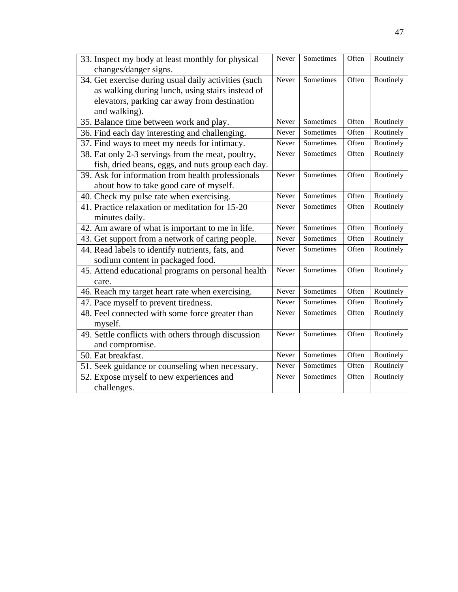| 33. Inspect my body at least monthly for physical    | Never | Sometimes | Often | Routinely |
|------------------------------------------------------|-------|-----------|-------|-----------|
| changes/danger signs.                                |       |           |       |           |
| 34. Get exercise during usual daily activities (such | Never | Sometimes | Often | Routinely |
| as walking during lunch, using stairs instead of     |       |           |       |           |
| elevators, parking car away from destination         |       |           |       |           |
| and walking).                                        |       |           |       |           |
| 35. Balance time between work and play.              | Never | Sometimes | Often | Routinely |
| 36. Find each day interesting and challenging.       | Never | Sometimes | Often | Routinely |
| 37. Find ways to meet my needs for intimacy.         | Never | Sometimes | Often | Routinely |
| 38. Eat only 2-3 servings from the meat, poultry,    | Never | Sometimes | Often | Routinely |
| fish, dried beans, eggs, and nuts group each day.    |       |           |       |           |
| 39. Ask for information from health professionals    | Never | Sometimes | Often | Routinely |
| about how to take good care of myself.               |       |           |       |           |
| 40. Check my pulse rate when exercising.             | Never | Sometimes | Often | Routinely |
| 41. Practice relaxation or meditation for 15-20      | Never | Sometimes | Often | Routinely |
| minutes daily.                                       |       |           |       |           |
| 42. Am aware of what is important to me in life.     | Never | Sometimes | Often | Routinely |
| 43. Get support from a network of caring people.     | Never | Sometimes | Often | Routinely |
| 44. Read labels to identify nutrients, fats, and     | Never | Sometimes | Often | Routinely |
| sodium content in packaged food.                     |       |           |       |           |
| 45. Attend educational programs on personal health   | Never | Sometimes | Often | Routinely |
| care.                                                |       |           |       |           |
| 46. Reach my target heart rate when exercising.      | Never | Sometimes | Often | Routinely |
| 47. Pace myself to prevent tiredness.                | Never | Sometimes | Often | Routinely |
| 48. Feel connected with some force greater than      | Never | Sometimes | Often | Routinely |
| myself.                                              |       |           |       |           |
| 49. Settle conflicts with others through discussion  | Never | Sometimes | Often | Routinely |
| and compromise.                                      |       |           |       |           |
| 50. Eat breakfast.                                   | Never | Sometimes | Often | Routinely |
| 51. Seek guidance or counseling when necessary.      | Never | Sometimes | Often | Routinely |
| 52. Expose myself to new experiences and             | Never | Sometimes | Often | Routinely |
| challenges.                                          |       |           |       |           |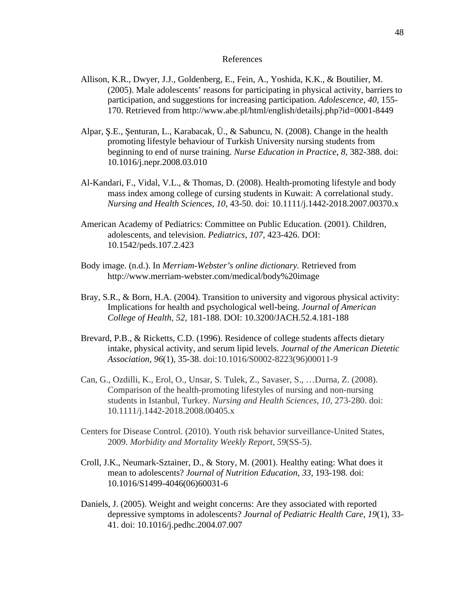#### References

- Allison, K.R., Dwyer, J.J., Goldenberg, E., Fein, A., Yoshida, K.K., & Boutilier, M. (2005). Male adolescents' reasons for participating in physical activity, barriers to participation, and suggestions for increasing participation. *Adolescence, 40,* 155- 170. Retrieved from http://www.abe.pl/html/english/detailsj.php?id=0001-8449
- Alpar, Ş.E., Şenturan, L., Karabacak, Ü., & Sabuncu, N. (2008). Change in the health promoting lifestyle behaviour of Turkish University nursing students from beginning to end of nurse training. *Nurse Education in Practice, 8,* 382-388. doi: 10.1016/j.nepr.2008.03.010
- Al-Kandari, F., Vidal, V.L., & Thomas, D. (2008). Health-promoting lifestyle and body mass index among college of cursing students in Kuwait: A correlational study. *Nursing and Health Sciences, 10*, 43-50. doi: 10.1111/j.1442-2018.2007.00370.x
- American Academy of Pediatrics: Committee on Public Education. (2001). Children, adolescents, and television. *Pediatrics, 107,* 423-426. DOI: 10.1542/peds.107.2.423
- Body image. (n.d.). In *Merriam-Webster's online dictionary.* Retrieved from http://www.merriam-webster.com/medical/body%20image
- Bray, S.R., & Born, H.A. (2004). Transition to university and vigorous physical activity: Implications for health and psychological well-being. *Journal of American College of Health, 52,* 181-188. DOI: 10.3200/JACH.52.4.181-188
- Brevard, P.B., & Ricketts, C.D. (1996). Residence of college students affects dietary intake, physical activity, and serum lipid levels. *Journal of the American Dietetic Association, 96*(1), 35-38. doi:10.1016/S0002-8223(96)00011-9
- Can, G., Ozdilli, K., Erol, O., Unsar, S. Tulek, Z., Savaser, S., …Durna, Z. (2008). Comparison of the health-promoting lifestyles of nursing and non-nursing students in Istanbul, Turkey. *Nursing and Health Sciences, 10,* 273-280. doi: 10.1111/j.1442-2018.2008.00405.x
- Centers for Disease Control. (2010). Youth risk behavior surveillance-United States, 2009. *Morbidity and Mortality Weekly Report, 59*(SS-5).
- Croll, J.K., Neumark-Sztainer, D., & Story, M. (2001). Healthy eating: What does it mean to adolescents? *Journal of Nutrition Education, 33,* 193-198. doi: 10.1016/S1499-4046(06)60031-6
- Daniels, J. (2005). Weight and weight concerns: Are they associated with reported depressive symptoms in adolescents? *Journal of Pediatric Health Care, 19*(1), 33- 41. doi: 10.1016/j.pedhc.2004.07.007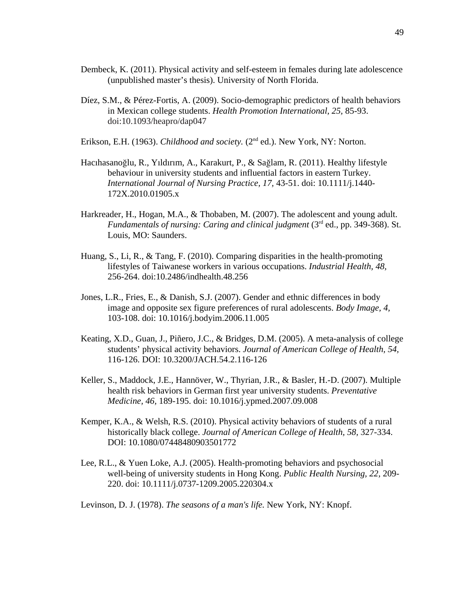- Dembeck, K. (2011). Physical activity and self-esteem in females during late adolescence (unpublished master's thesis). University of North Florida.
- Díez, S.M., & Pérez-Fortis, A. (2009). Socio-demographic predictors of health behaviors in Mexican college students. *Health Promotion International, 25,* 85-93. doi:10.1093/heapro/dap047
- Erikson, E.H. (1963). *Childhood and society*. (2<sup>nd</sup> ed.). New York, NY: Norton.
- Hacıhasanoğlu, R., Yıldırım, A., Karakurt, P., & Sağlam, R. (2011). Healthy lifestyle behaviour in university students and influential factors in eastern Turkey. *International Journal of Nursing Practice, 17,* 43-51. doi: 10.1111/j.1440- 172X.2010.01905.x
- Harkreader, H., Hogan, M.A., & Thobaben, M. (2007). The adolescent and young adult. *Fundamentals of nursing: Caring and clinical judgment* (3<sup>rd</sup> ed., pp. 349-368). St. Louis, MO: Saunders.
- Huang, S., Li, R., & Tang, F. (2010). Comparing disparities in the health-promoting lifestyles of Taiwanese workers in various occupations. *Industrial Health, 48,*  256-264. doi:10.2486/indhealth.48.256
- Jones, L.R., Fries, E., & Danish, S.J. (2007). Gender and ethnic differences in body image and opposite sex figure preferences of rural adolescents. *Body Image, 4,*  103-108. doi: 10.1016/j.bodyim.2006.11.005
- Keating, X.D., Guan, J., Piñero, J.C., & Bridges, D.M. (2005). A meta-analysis of college students' physical activity behaviors. *Journal of American College of Health, 54,*  116-126. DOI: 10.3200/JACH.54.2.116-126
- Keller, S., Maddock, J.E., Hannöver, W., Thyrian, J.R., & Basler, H.-D. (2007). Multiple health risk behaviors in German first year university students. *Preventative Medicine, 46,* 189-195. doi: 10.1016/j.ypmed.2007.09.008
- Kemper, K.A., & Welsh, R.S. (2010). Physical activity behaviors of students of a rural historically black college. *Journal of American College of Health, 58,* 327-334. DOI: 10.1080/07448480903501772
- Lee, R.L., & Yuen Loke, A.J. (2005). Health-promoting behaviors and psychosocial well-being of university students in Hong Kong. *Public Health Nursing, 22,* 209- 220. doi: 10.1111/j.0737-1209.2005.220304.x

Levinson, D. J. (1978). *The seasons of a man's life.* New York, NY: Knopf.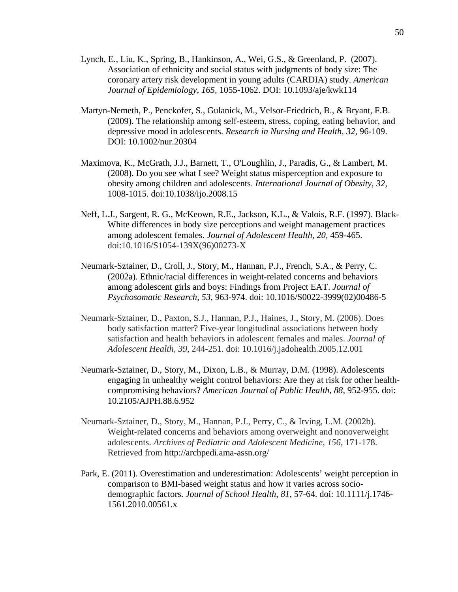- Lynch, E., Liu, K., Spring, B., Hankinson, A., Wei, G.S., & Greenland, P. (2007). Association of ethnicity and social status with judgments of body size: The coronary artery risk development in young adults (CARDIA) study. *American Journal of Epidemiology, 165,* 1055-1062. DOI: 10.1093/aje/kwk114
- Martyn-Nemeth, P., Penckofer, S., Gulanick, M., Velsor-Friedrich, B., & Bryant, F.B. (2009). The relationship among self-esteem, stress, coping, eating behavior, and depressive mood in adolescents. *Research in Nursing and Health, 32,* 96-109. DOI: 10.1002/nur.20304
- Maximova, K., McGrath, J.J., Barnett, T., O'Loughlin, J., Paradis, G., & Lambert, M. (2008). Do you see what I see? Weight status misperception and exposure to obesity among children and adolescents. *International Journal of Obesity, 32,*  1008-1015. doi:10.1038/ijo.2008.15
- Neff, L.J., Sargent, R. G., McKeown, R.E., Jackson, K.L., & Valois, R.F. (1997). Black-White differences in body size perceptions and weight management practices among adolescent females. *Journal of Adolescent Health, 20,* 459-465. doi:10.1016/S1054-139X(96)00273-X
- Neumark-Sztainer, D., Croll, J., Story, M., Hannan, P.J., French, S.A., & Perry, C. (2002a). Ethnic/racial differences in weight-related concerns and behaviors among adolescent girls and boys: Findings from Project EAT. *Journal of Psychosomatic Research, 53,* 963-974. doi: 10.1016/S0022-3999(02)00486-5
- Neumark-Sztainer, D., Paxton, S.J., Hannan, P.J., Haines, J., Story, M. (2006). Does body satisfaction matter? Five-year longitudinal associations between body satisfaction and health behaviors in adolescent females and males. *Journal of Adolescent Health, 39,* 244-251. doi: 10.1016/j.jadohealth.2005.12.001
- Neumark-Sztainer, D., Story, M., Dixon, L.B., & Murray, D.M. (1998). Adolescents engaging in unhealthy weight control behaviors: Are they at risk for other healthcompromising behaviors? *American Journal of Public Health, 88,* 952-955. doi: 10.2105/AJPH.88.6.952
- Neumark-Sztainer, D., Story, M., Hannan, P.J., Perry, C., & Irving, L.M. (2002b). Weight-related concerns and behaviors among overweight and nonoverweight adolescents. *Archives of Pediatric and Adolescent Medicine, 156,* 171-178. Retrieved from http://archpedi.ama-assn.org/
- Park, E. (2011). Overestimation and underestimation: Adolescents' weight perception in comparison to BMI-based weight status and how it varies across sociodemographic factors. *Journal of School Health, 81*, 57-64. doi: 10.1111/j.1746- 1561.2010.00561.x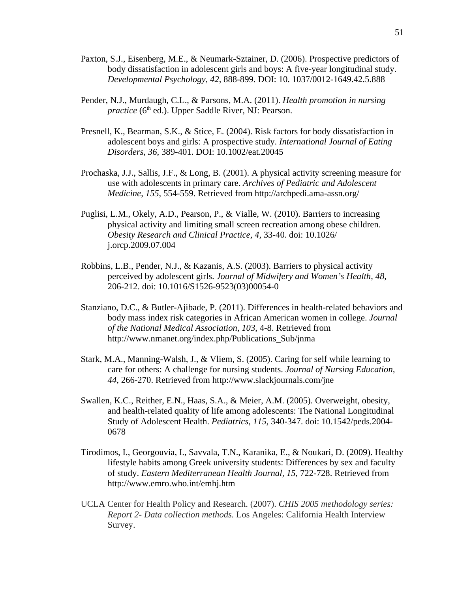- Paxton, S.J., Eisenberg, M.E., & Neumark-Sztainer, D. (2006). Prospective predictors of body dissatisfaction in adolescent girls and boys: A five-year longitudinal study. *Developmental Psychology, 42,* 888-899. DOI: 10. 1037/0012-1649.42.5.888
- Pender, N.J., Murdaugh, C.L., & Parsons, M.A. (2011). *Health promotion in nursing practice* (6<sup>th</sup> ed.). Upper Saddle River, NJ: Pearson.
- Presnell, K., Bearman, S.K., & Stice, E. (2004). Risk factors for body dissatisfaction in adolescent boys and girls: A prospective study. *International Journal of Eating Disorders, 36,* 389-401. DOI: 10.1002/eat.20045
- Prochaska, J.J., Sallis, J.F., & Long, B. (2001). A physical activity screening measure for use with adolescents in primary care. *Archives of Pediatric and Adolescent Medicine*, *155*, 554-559. Retrieved from http://archpedi.ama-assn.org/
- Puglisi, L.M., Okely, A.D., Pearson, P., & Vialle, W. (2010). Barriers to increasing physical activity and limiting small screen recreation among obese children. *Obesity Research and Clinical Practice, 4,* 33-40. doi: 10.1026/ j.orcp.2009.07.004
- Robbins, L.B., Pender, N.J., & Kazanis, A.S. (2003). Barriers to physical activity perceived by adolescent girls. *Journal of Midwifery and Women's Health, 48,*  206-212. doi: 10.1016/S1526-9523(03)00054-0
- Stanziano, D.C., & Butler-Ajibade, P. (2011). Differences in health-related behaviors and body mass index risk categories in African American women in college. *Journal of the National Medical Association, 103*, 4-8. Retrieved from http://www.nmanet.org/index.php/Publications\_Sub/jnma
- Stark, M.A., Manning-Walsh, J., & Vliem, S. (2005). Caring for self while learning to care for others: A challenge for nursing students. *Journal of Nursing Education, 44,* 266-270. Retrieved from http://www.slackjournals.com/jne
- Swallen, K.C., Reither, E.N., Haas, S.A., & Meier, A.M. (2005). Overweight, obesity, and health-related quality of life among adolescents: The National Longitudinal Study of Adolescent Health. *Pediatrics, 115,* 340-347. doi: 10.1542/peds.2004- 0678
- Tirodimos, I., Georgouvia, I., Savvala, T.N., Karanika, E., & Noukari, D. (2009). Healthy lifestyle habits among Greek university students: Differences by sex and faculty of study. *Eastern Mediterranean Health Journal, 15,* 722-728. Retrieved from http://www.emro.who.int/emhj.htm
- UCLA Center for Health Policy and Research. (2007). *CHIS 2005 methodology series: Report 2- Data collection methods.* Los Angeles: California Health Interview Survey.